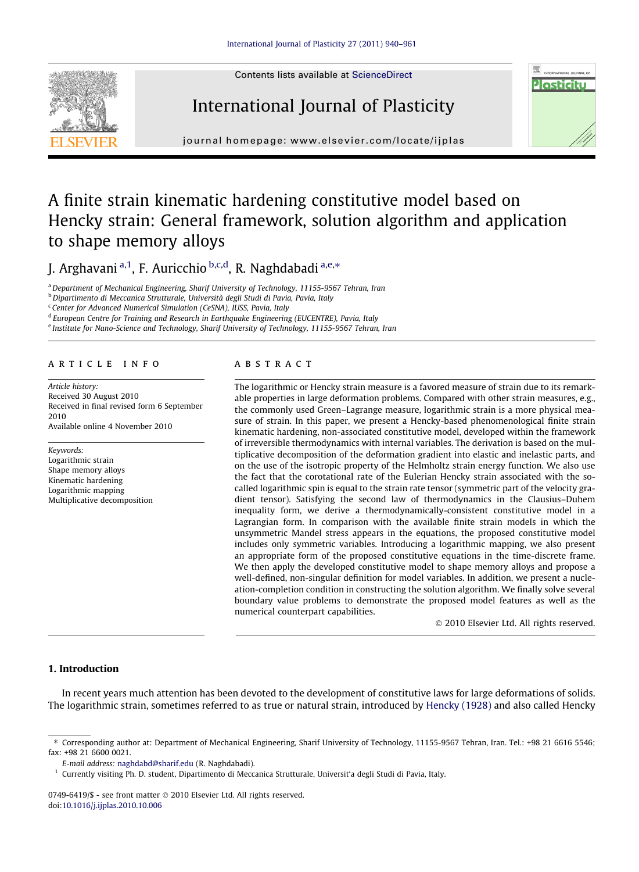Contents lists available at [ScienceDirect](http://www.sciencedirect.com/science/journal/07496419)





# International Journal of Plasticity

journal homepage: [www.elsevier.com/locate/ijplas](http://www.elsevier.com/locate/ijplas)

# A finite strain kinematic hardening constitutive model based on Hencky strain: General framework, solution algorithm and application to shape memory alloys

J. Arghavani <sup>a,1</sup>, F. Auricchio <sup>b,c,d</sup>, R. Naghdabadi <sup>a,e,</sup>\*

<sup>a</sup> Department of Mechanical Engineering, Sharif University of Technology, 11155-9567 Tehran, Iran

<sup>b</sup> Dipartimento di Meccanica Strutturale, Università degli Studi di Pavia, Pavia, Italy

<sup>c</sup> Center for Advanced Numerical Simulation (CeSNA), IUSS, Pavia, Italy

<sup>d</sup> European Centre for Training and Research in Earthquake Engineering (EUCENTRE), Pavia, Italy

<sup>e</sup> Institute for Nano-Science and Technology, Sharif University of Technology, 11155-9567 Tehran, Iran

#### article info

Article history: Received 30 August 2010 Received in final revised form 6 September 2010 Available online 4 November 2010

Keywords: Logarithmic strain Shape memory alloys Kinematic hardening Logarithmic mapping Multiplicative decomposition

# **ABSTRACT**

The logarithmic or Hencky strain measure is a favored measure of strain due to its remarkable properties in large deformation problems. Compared with other strain measures, e.g., the commonly used Green–Lagrange measure, logarithmic strain is a more physical measure of strain. In this paper, we present a Hencky-based phenomenological finite strain kinematic hardening, non-associated constitutive model, developed within the framework of irreversible thermodynamics with internal variables. The derivation is based on the multiplicative decomposition of the deformation gradient into elastic and inelastic parts, and on the use of the isotropic property of the Helmholtz strain energy function. We also use the fact that the corotational rate of the Eulerian Hencky strain associated with the socalled logarithmic spin is equal to the strain rate tensor (symmetric part of the velocity gradient tensor). Satisfying the second law of thermodynamics in the Clausius–Duhem inequality form, we derive a thermodynamically-consistent constitutive model in a Lagrangian form. In comparison with the available finite strain models in which the unsymmetric Mandel stress appears in the equations, the proposed constitutive model includes only symmetric variables. Introducing a logarithmic mapping, we also present an appropriate form of the proposed constitutive equations in the time-discrete frame. We then apply the developed constitutive model to shape memory alloys and propose a well-defined, non-singular definition for model variables. In addition, we present a nucleation-completion condition in constructing the solution algorithm. We finally solve several boundary value problems to demonstrate the proposed model features as well as the numerical counterpart capabilities.

- 2010 Elsevier Ltd. All rights reserved.

# 1. Introduction

In recent years much attention has been devoted to the development of constitutive laws for large deformations of solids. The logarithmic strain, sometimes referred to as true or natural strain, introduced by [Hencky \(1928\)](#page-20-0) and also called Hencky

<sup>⇑</sup> Corresponding author at: Department of Mechanical Engineering, Sharif University of Technology, 11155-9567 Tehran, Iran. Tel.: +98 21 6616 5546; fax: +98 21 6600 0021.

E-mail address: [naghdabd@sharif.edu](mailto:naghdabd@sharif.edu) (R. Naghdabadi).

<sup>&</sup>lt;sup>1</sup> Currently visiting Ph. D. student, Dipartimento di Meccanica Strutturale, Universit'a degli Studi di Pavia, Italy.

<sup>0749-6419/\$ -</sup> see front matter © 2010 Elsevier Ltd. All rights reserved. doi[:10.1016/j.ijplas.2010.10.006](http://dx.doi.org/10.1016/j.ijplas.2010.10.006)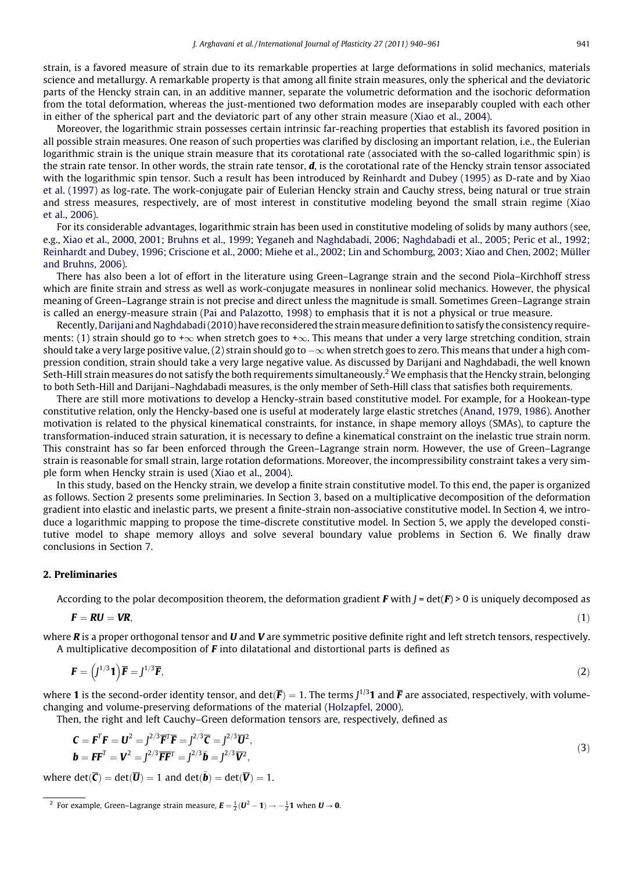strain, is a favored measure of strain due to its remarkable properties at large deformations in solid mechanics, materials science and metallurgy. A remarkable property is that among all finite strain measures, only the spherical and the deviatoric parts of the Hencky strain can, in an additive manner, separate the volumetric deformation and the isochoric deformation from the total deformation, whereas the just-mentioned two deformation modes are inseparably coupled with each other in either of the spherical part and the deviatoric part of any other strain measure [\(Xiao et al., 2004\)](#page-21-0).

Moreover, the logarithmic strain possesses certain intrinsic far-reaching properties that establish its favored position in all possible strain measures. One reason of such properties was clarified by disclosing an important relation, i.e., the Eulerian logarithmic strain is the unique strain measure that its corotational rate (associated with the so-called logarithmic spin) is the strain rate tensor. In other words, the strain rate tensor,  $d$ , is the corotational rate of the Hencky strain tensor associated with the logarithmic spin tensor. Such a result has been introduced by [Reinhardt and Dubey \(1995\)](#page-20-0) as D-rate and by [Xiao](#page-21-0) [et al. \(1997\)](#page-21-0) as log-rate. The work-conjugate pair of Eulerian Hencky strain and Cauchy stress, being natural or true strain and stress measures, respectively, are of most interest in constitutive modeling beyond the small strain regime [\(Xiao](#page-21-0) [et al., 2006\)](#page-21-0).

For its considerable advantages, logarithmic strain has been used in constitutive modeling of solids by many authors (see, e.g., [Xiao et al., 2000, 2001; Bruhns et al., 1999; Yeganeh and Naghdabadi, 2006; Naghdabadi et al., 2005; Peric et al., 1992;](#page-21-0) [Reinhardt and Dubey, 1996; Criscione et al., 2000; Miehe et al., 2002; Lin and Schomburg, 2003; Xiao and Chen, 2002; Müller](#page-21-0) [and Bruhns, 2006\)](#page-21-0).

There has also been a lot of effort in the literature using Green–Lagrange strain and the second Piola–Kirchhoff stress which are finite strain and stress as well as work-conjugate measures in nonlinear solid mechanics. However, the physical meaning of Green–Lagrange strain is not precise and direct unless the magnitude is small. Sometimes Green–Lagrange strain is called an energy-measure strain ([Pai and Palazotto, 1998\)](#page-20-0) to emphasis that it is not a physical or true measure.

Recently, [Darijani and Naghdabadi \(2010\)](#page-20-0) have reconsidered the strain measure definition to satisfy the consistency requirements: (1) strain should go to  $+\infty$  when stretch goes to  $+\infty$ . This means that under a very large stretching condition, strain should take a very large positive value, (2) strain should go to – $\infty$  when stretch goes to zero. This means that under a high compression condition, strain should take a very large negative value. As discussed by Darijani and Naghdabadi, the well known Seth-Hill strain measures do not satisfy the both requirements simultaneously.<sup>2</sup> We emphasis that the Hencky strain, belonging to both Seth-Hill and Darijani–Naghdabadi measures, is the only member of Seth-Hill class that satisfies both requirements.

There are still more motivations to develop a Hencky-strain based constitutive model. For example, for a Hookean-type constitutive relation, only the Hencky-based one is useful at moderately large elastic stretches [\(Anand, 1979, 1986\)](#page-19-0). Another motivation is related to the physical kinematical constraints, for instance, in shape memory alloys (SMAs), to capture the transformation-induced strain saturation, it is necessary to define a kinematical constraint on the inelastic true strain norm. This constraint has so far been enforced through the Green–Lagrange strain norm. However, the use of Green–Lagrange strain is reasonable for small strain, large rotation deformations. Moreover, the incompressibility constraint takes a very simple form when Hencky strain is used [\(Xiao et al., 2004\)](#page-21-0).

In this study, based on the Hencky strain, we develop a finite strain constitutive model. To this end, the paper is organized as follows. Section 2 presents some preliminaries. In Section 3, based on a multiplicative decomposition of the deformation gradient into elastic and inelastic parts, we present a finite-strain non-associative constitutive model. In Section 4, we introduce a logarithmic mapping to propose the time-discrete constitutive model. In Section 5, we apply the developed constitutive model to shape memory alloys and solve several boundary value problems in Section 6. We finally draw conclusions in Section 7.

#### 2. Preliminaries

According to the polar decomposition theorem, the deformation gradient **F** with  $J = det(F) > 0$  is uniquely decomposed as

$$
\mathbf{F} = \mathbf{RU} = \mathbf{VR},\tag{1}
$$

where  $\bm{R}$  is a proper orthogonal tensor and  $\bm{U}$  and  $\bm{V}$  are symmetric positive definite right and left stretch tensors, respectively. A multiplicative decomposition of  $\bm{F}$  into dilatational and distortional parts is defined as

$$
\mathbf{F} = \left(\mathbf{J}^{1/3}\mathbf{1}\right)\overline{\mathbf{F}} = \mathbf{J}^{1/3}\overline{\mathbf{F}},\tag{2}
$$

where **1** is the second-order identity tensor, and  $\det(\overline{F})=1.$  The terms  $J^{1/3}$  **1** and  $\overline{F}$  are associated, respectively, with volumechanging and volume-preserving deformations of the material ([Holzapfel, 2000\)](#page-20-0).

Then, the right and left Cauchy–Green deformation tensors are, respectively, defined as

$$
\mathbf{C} = \mathbf{F}^{\mathrm{T}} \mathbf{F} = \mathbf{U}^2 = J^{2/3} \overline{\mathbf{F}}^{\mathrm{T}} \overline{\mathbf{F}} = J^{2/3} \overline{\mathbf{C}} = J^{2/3} \overline{\mathbf{U}}^2,
$$
  
\n
$$
\mathbf{b} = \mathbf{F} \mathbf{F}^{\mathrm{T}} = \mathbf{V}^2 = J^{2/3} \overline{\mathbf{F}} \mathbf{F}^{\mathrm{T}} = J^{2/3} \overline{\mathbf{b}} = J^{2/3} \overline{\mathbf{V}}^2,
$$
\n(3)

where  $\det(\overline{\mathbf{C}}) = \det(\overline{\mathbf{U}}) = 1$  and  $\det(\overline{\mathbf{b}}) = \det(\overline{\mathbf{V}}) = 1$ .

 $^2$  For example, Green–Lagrange strain measure,  $\bm{E}=\frac{1}{2}(\bm{U}^2-\bm{1})\rightarrow -\frac{1}{2}\bm{1}$  when  $\bm{U}\rightarrow\bm{0}$ .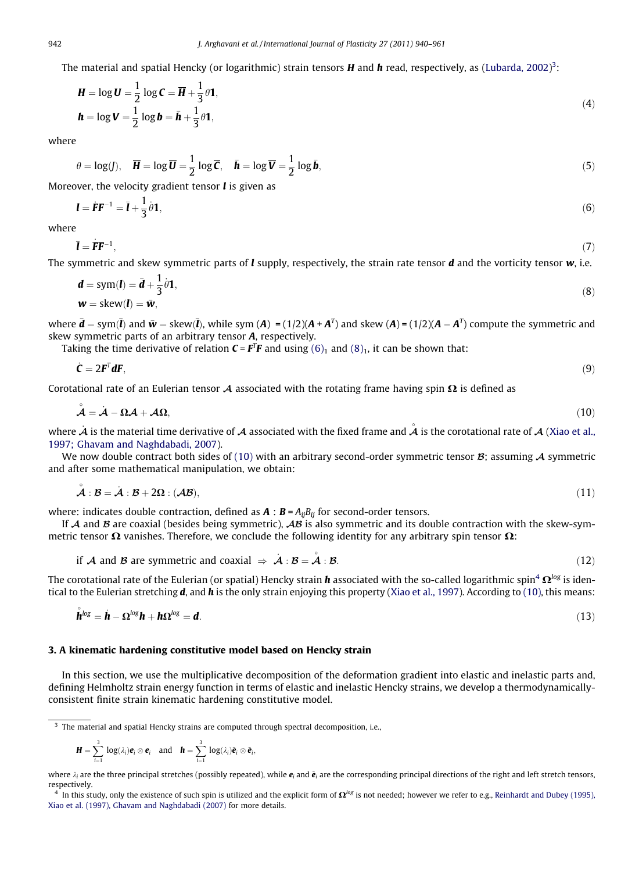<span id="page-2-0"></span>The material and spatial Hencky (or logarithmic) strain tensors **H** and **h** read, respectively, as ([Lubarda, 2002\)](#page-20-0)<sup>3</sup>:

$$
\mathbf{H} = \log \mathbf{U} = \frac{1}{2} \log \mathbf{C} = \overline{\mathbf{H}} + \frac{1}{3} \theta \mathbf{1},
$$
  

$$
\mathbf{h} = \log \mathbf{V} = \frac{1}{2} \log \mathbf{b} = \overline{\mathbf{h}} + \frac{1}{3} \theta \mathbf{1},
$$
 (4)

where

$$
\theta = \log(J), \quad \overline{H} = \log \overline{U} = \frac{1}{2} \log \overline{C}, \quad \overline{h} = \log \overline{V} = \frac{1}{2} \log \overline{b}, \tag{5}
$$

Moreover, the velocity gradient tensor  $\boldsymbol{l}$  is given as

$$
\mathbf{l} = \dot{\mathbf{F}} \mathbf{F}^{-1} = \bar{\mathbf{l}} + \frac{1}{3} \dot{\theta} \mathbf{1},\tag{6}
$$

where

 $\circ$ 

 $\bar{l} = \dot{\overline{F}}\overline{F}$  $\frac{1}{1}$ , (7)

The symmetric and skew symmetric parts of  $\bm{l}$  supply, respectively, the strain rate tensor  $\bm{d}$  and the vorticity tensor  $\bm{w}$ , i.e.

$$
\mathbf{d} = \text{sym}(\mathbf{I}) = \mathbf{\bar{d}} + \frac{1}{3}\dot{\theta}\mathbf{1},
$$
  

$$
\mathbf{w} = \text{skew}(\mathbf{I}) = \mathbf{\bar{w}},
$$
 (8)

where  $\bar{\bm{d}} = \text{sym}(\bar{\bm{l}})$  and  $\bar{\bm{w}} = \text{skew}(\bar{\bm{l}})$ , while sym  $(\bm{A}) = (1/2)(\bm{A} + \bm{A}^T)$  and skew  $(\bm{A}) = (1/2)(\bm{A} - \bm{A}^T)$  compute the symmetric and skew symmetric parts of an arbitrary tensor A, respectively.

Taking the time derivative of relation  $C$  =  $\bm{F}^T\bm{F}$  and using (6)<sub>1</sub> and (8)<sub>1</sub>, it can be shown that:

$$
\dot{\mathbf{C}} = 2\mathbf{F}^T \mathbf{d}\mathbf{F},\tag{9}
$$

Corotational rate of an Eulerian tensor A associated with the rotating frame having spin  $\Omega$  is defined as

 $\mathring{\mathcal{A}} = \mathring{\mathcal{A}} - \mathbf{\Omega}\mathcal{A} + \mathcal{A}\mathbf{\Omega},$  (10)

where  $\hat{\cal A}$  is the material time derivative of  $\cal A$  associated with the fixed frame and  $\overset{\circ}{\cal A}$  is the corotational rate of  $\cal A$  ([Xiao et al.,](#page-21-0) [1997; Ghavam and Naghdabadi, 2007\)](#page-21-0).

We now double contract both sides of (10) with an arbitrary second-order symmetric tensor  $B$ ; assuming A symmetric and after some mathematical manipulation, we obtain:

$$
\stackrel{\circ}{\mathcal{A}}:\mathcal{B}=\stackrel{\circ}{\mathcal{A}}:\mathcal{B}+2\Omega:(\mathcal{AB}),
$$
\n(11)

where: indicates double contraction, defined as  $A : B = A_{ij}B_{ij}$  for second-order tensors.

If  $A$  and  $B$  are coaxial (besides being symmetric),  $AB$  is also symmetric and its double contraction with the skew-symmetric tensor  $\Omega$  vanishes. Therefore, we conclude the following identity for any arbitrary spin tensor  $\Omega$ :

if 
$$
A
$$
 and  $B$  are symmetric and coaxial  $\Rightarrow$   $A : B = \mathcal{A} : B$ . (12)

The corotational rate of the Eulerian (or spatial) Hencky strain h associated with the so-called logarithmic spin<sup>4</sup>  $\Omega^{log}$  is identical to the Eulerian stretching  $d$ , and  $h$  is the only strain enjoying this property [\(Xiao et al., 1997](#page-21-0)). According to (10), this means:

$$
\mathbf{h}^{\log} = \mathbf{h} - \mathbf{\Omega}^{\log} \mathbf{h} + \mathbf{h} \mathbf{\Omega}^{\log} = \mathbf{d}.\tag{13}
$$

#### 3. A kinematic hardening constitutive model based on Hencky strain

In this section, we use the multiplicative decomposition of the deformation gradient into elastic and inelastic parts and, defining Helmholtz strain energy function in terms of elastic and inelastic Hencky strains, we develop a thermodynamicallyconsistent finite strain kinematic hardening constitutive model.

$$
\boldsymbol{H} = \sum_{i=1}^3 \log(\lambda_i) \boldsymbol{e}_i \otimes \boldsymbol{e}_i \quad \text{and} \quad \boldsymbol{h} = \sum_{i=1}^3 \log(\lambda_i) \tilde{\boldsymbol{e}}_i \otimes \tilde{\boldsymbol{e}}_i,
$$

<sup>&</sup>lt;sup>3</sup> The material and spatial Hencky strains are computed through spectral decomposition, i.e.,

where  $\lambda_i$  are the three principal stretches (possibly repeated), while  $e_i$  and  $\tilde{e}_i$  are the corresponding principal directions of the right and left stretch tensors, respectively.

<sup>&</sup>lt;sup>4</sup> In this study, only the existence of such spin is utilized and the explicit form of  $\Omega^{log}$  is not needed; however we refer to e.g., [Reinhardt and Dubey \(1995\),](#page-20-0) [Xiao et al. \(1997\), Ghavam and Naghdabadi \(2007\)](#page-20-0) for more details.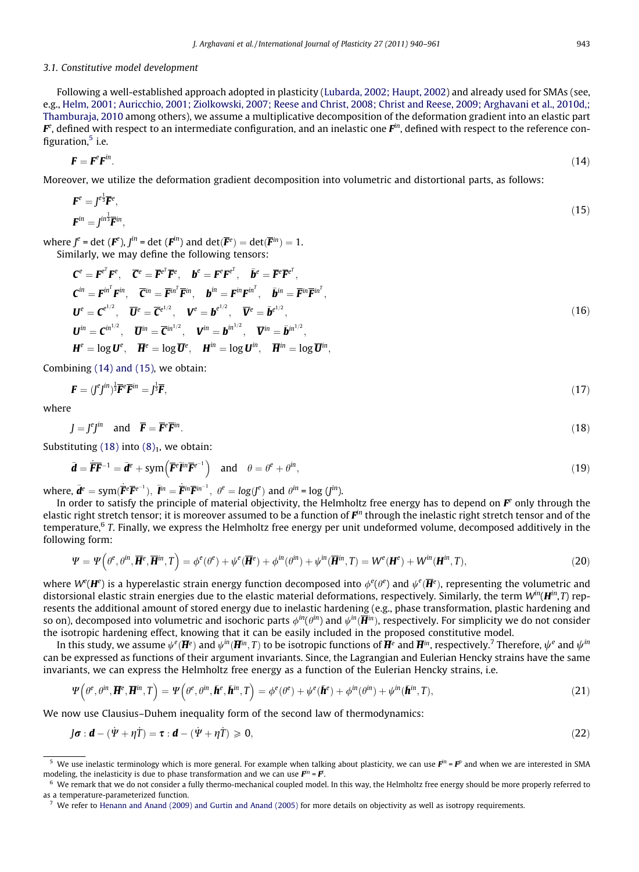# <span id="page-3-0"></span>3.1. Constitutive model development

Following a well-established approach adopted in plasticity [\(Lubarda, 2002; Haupt, 2002](#page-20-0)) and already used for SMAs (see, e.g., [Helm, 2001; Auricchio, 2001; Ziolkowski, 2007; Reese and Christ, 2008; Christ and Reese, 2009; Arghavani et al., 2010d,;](#page-20-0) [Thamburaja, 2010](#page-20-0) among others), we assume a multiplicative decomposition of the deformation gradient into an elastic part  $\bm F$ , defined with respect to an intermediate configuration, and an inelastic one  $\bm F^{\textit{in}}$ , defined with respect to the reference configuration. $5$  i.e.

$$
\mathbf{F} = \mathbf{F}^e \mathbf{F}^{\text{in}}.\tag{14}
$$

Moreover, we utilize the deformation gradient decomposition into volumetric and distortional parts, as follows:

$$
\mathbf{F}^e = J^{e\frac{1}{2}} \overline{\mathbf{F}}^e, \tag{15}
$$
\n
$$
\mathbf{F}^{\text{in}} = J^{\text{in}} \frac{1}{2} \overline{\mathbf{F}}^{\text{in}},
$$

where  $J^e$  = det  $(\boldsymbol{F}^e)$ ,  $J^{in}$  = det  $(\boldsymbol{F}^{in})$  and  $\det(\boldsymbol{\overline{F}}^e)$  = det $(\boldsymbol{\overline{F}}^{in})$  = 1. Similarly, we may define the following tensors:

$$
\mathbf{C}^{e} = \mathbf{F}^{e^{T}} \mathbf{F}^{e}, \quad \overline{\mathbf{C}}^{e} = \overline{\mathbf{F}}^{e^{T}} \overline{\mathbf{F}}^{e}, \quad \mathbf{b}^{e} = \mathbf{F}^{e} \mathbf{F}^{e^{T}}, \quad \overline{\mathbf{b}}^{e} = \overline{\mathbf{F}}^{e} \overline{\mathbf{F}}^{e^{T}},
$$
\n
$$
\mathbf{C}^{in} = \mathbf{F}^{in^{T}} \mathbf{F}^{in}, \quad \overline{\mathbf{C}}^{in} = \overline{\mathbf{F}}^{in^{T}} \overline{\mathbf{F}}^{in}, \quad \mathbf{b}^{in} = \mathbf{F}^{in} \mathbf{F}^{in^{T}}, \quad \overline{\mathbf{b}}^{in} = \overline{\mathbf{F}}^{in} \overline{\mathbf{F}}^{in^{T}},
$$
\n
$$
\mathbf{U}^{e} = \mathbf{C}^{e^{1/2}}, \quad \overline{\mathbf{U}}^{e} = \overline{\mathbf{C}}^{e^{1/2}}, \quad \mathbf{V}^{e} = \mathbf{b}^{e^{1/2}}, \quad \overline{\mathbf{V}}^{e} = \overline{\mathbf{b}}^{e^{1/2}},
$$
\n
$$
\mathbf{U}^{in} = \mathbf{C}^{in^{1/2}}, \quad \overline{\mathbf{U}}^{in} = \overline{\mathbf{C}}^{in^{1/2}}, \quad \mathbf{V}^{in} = \mathbf{b}^{in^{1/2}}, \quad \overline{\mathbf{V}}^{in} = \overline{\mathbf{b}}^{in^{1/2}},
$$
\n
$$
\mathbf{H}^{e} = \log \mathbf{U}^{e}, \quad \overline{\mathbf{H}}^{e} = \log \overline{\mathbf{U}}^{e}, \quad \mathbf{H}^{in} = \log \mathbf{U}^{in}, \quad \overline{\mathbf{H}}^{in} = \log \overline{\mathbf{U}}^{in},
$$
\n(16)

Combining (14) and (15), we obtain:

$$
\mathbf{F} = (\mathbf{J}^e \mathbf{J}^{\text{in}})^{\frac{1}{2}} \overline{\mathbf{F}}^e \overline{\mathbf{F}}^{\text{in}} = \mathbf{J}^{\frac{1}{2}} \overline{\mathbf{F}},\tag{17}
$$

where

$$
J = Je Jin \quad \text{and} \quad \overline{F} = \overline{F}^e \overline{F}^{in}.
$$

Substituting  $(18)$  into  $(8)_1$  $(8)_1$ , we obtain:

$$
\bar{\boldsymbol{d}} = \dot{\overline{\boldsymbol{F}}}\overline{\boldsymbol{F}}^{-1} = \bar{\boldsymbol{d}}^{e} + \operatorname{sym}\left(\overline{\boldsymbol{F}}^{e}\overline{\boldsymbol{l}}^{in}\overline{\boldsymbol{F}}^{e^{-1}}\right) \quad \text{and} \quad \theta = \theta^{e} + \theta^{in}, \tag{19}
$$

where,  $\bar{\bm{d}}^e = \text{sym}(\bar{\bm{F}}^e \bar{\bm{F}}^{e-1}), \ \bar{\bm{I}}^{in} = \bar{\bm{F}}^{in} \bar{\bm{F}}^{in-1}, \ \theta^e = \log(J^e)$  and  $\theta^{in} = \log(J^{in}).$ 

In order to satisfy the principle of material objectivity, the Helmholtz free energy has to depend on  $\mathbf{F}^e$  only through the elastic right stretch tensor; it is moreover assumed to be a function of  $F<sup>in</sup>$  through the inelastic right stretch tensor and of the temperature,<sup>6</sup> T. Finally, we express the Helmholtz free energy per unit undeformed volume, decomposed additively in the following form:

$$
\Psi = \Psi(\theta^e, \theta^{in}, \overline{\mathbf{H}}^e, \overline{\mathbf{H}}^{in}, T) = \phi^e(\theta^e) + \psi^e(\overline{\mathbf{H}}^e) + \phi^{in}(\theta^{in}) + \psi^{in}(\overline{\mathbf{H}}^{in}, T) = W^e(\mathbf{H}^e) + W^{in}(\mathbf{H}^{in}, T),
$$
\n(20)

where  $W^e$ ( $H^e$ ) is a hyperelastic strain energy function decomposed into  $\phi^e(\theta^e)$  and  $\psi^e(\overline{H}^e)$ , representing the volumetric and distorsional elastic strain energies due to the elastic material deformations, respectively. Similarly, the term  $W^{in} (H^{in}, T)$  represents the additional amount of stored energy due to inelastic hardening (e.g., phase transformation, plastic hardening and so on), decomposed into volumetric and isochoric parts  $\phi^{in}(\theta^{in})$  and  $\psi^{in}(\overline{\mathbf{H}}^n)$ , respectively. For simplicity we do not consider the isotropic hardening effect, knowing that it can be easily included in the proposed constitutive model.

In this study, we assume  $\psi^e(\overline{\bm{H}}^e)$  and  $\psi^{in}(\overline{\bm{H}}^in,T)$  to be isotropic functions of  $\overline{\bm{H}}^e$  and  $\overline{\bm{H}}^in$ , respectively.<sup>7</sup> Therefore,  $\psi^e$  and  $\psi^{in}$ can be expressed as functions of their argument invariants. Since, the Lagrangian and Eulerian Hencky strains have the same invariants, we can express the Helmholtz free energy as a function of the Eulerian Hencky strains, i.e.

$$
\Psi(\theta^e, \theta^{\text{in}}, \overline{\mathbf{H}}^e, \overline{\mathbf{H}}^{\text{in}}, T) = \Psi(\theta^e, \theta^{\text{in}}, \overline{\mathbf{h}}^e, \overline{\mathbf{h}}^{\text{in}}, T) = \phi^e(\theta^e) + \psi^e(\overline{\mathbf{h}}^e) + \phi^{\text{in}}(\theta^{\text{in}}) + \psi^{\text{in}}(\overline{\mathbf{h}}^{\text{in}}, T),
$$
\n(21)

We now use Clausius–Duhem inequality form of the second law of thermodynamics:

$$
J\boldsymbol{\sigma} : \boldsymbol{d} - (\dot{\boldsymbol{\Psi}} + \eta \dot{\boldsymbol{T}}) = \boldsymbol{\tau} : \boldsymbol{d} - (\dot{\boldsymbol{\Psi}} + \eta \dot{\boldsymbol{T}}) \geq 0,
$$
\n(22)

<sup>&</sup>lt;sup>5</sup> We use inelastic terminology which is more general. For example when talking about plasticity, we can use  $\mathbf{F}^{in} = \mathbf{F}^p$  and when we are interested in SMA modeling, the inelasticity is due to phase transformation and we can use  $\bm{F}^{in}$  =  $\bm{F}^{t}$ .

 $6\,$  We remark that we do not consider a fully thermo-mechanical coupled model. In this way, the Helmholtz free energy should be more properly referred to as a temperature-parameterized function.

 $^7$  We refer to [Henann and Anand \(2009\) and Gurtin and Anand \(2005\)](#page-20-0) for more details on objectivity as well as isotropy requirements.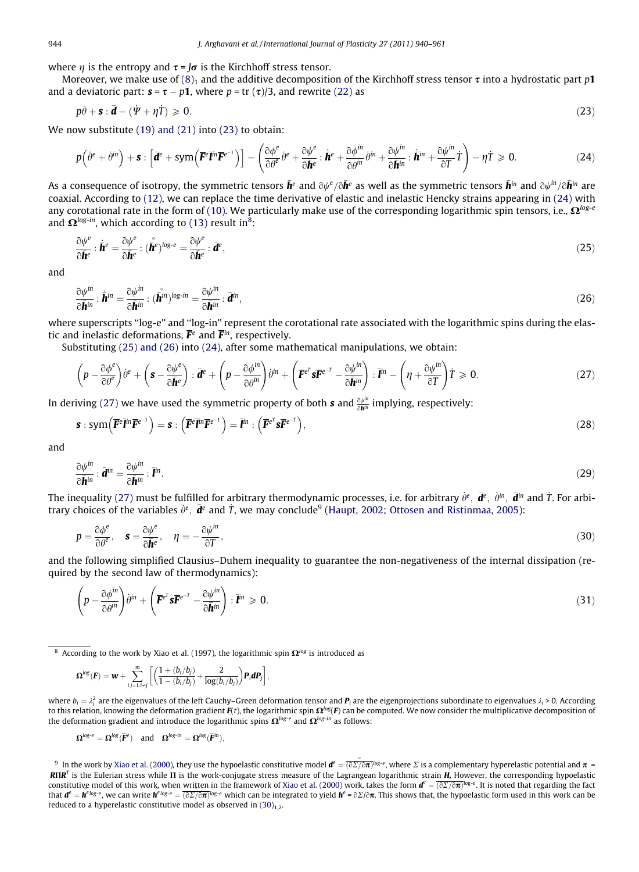<span id="page-4-0"></span>where *n* is the entropy and  $\tau = I\sigma$  is the Kirchhoff stress tensor.

Moreover, we make use of  $(8)_1$  $(8)_1$  and the additive decomposition of the Kirchhoff stress tensor  $\tau$  into a hydrostatic part p1 and a deviatoric part:  $\mathbf{s} = \tau - p\mathbf{1}$ , where  $p = \text{tr}(\tau)/3$ , and rewrite [\(22\)](#page-3-0) as

$$
p\dot{\theta} + \mathbf{s} \cdot \bar{\mathbf{d}} - (\dot{\Psi} + \eta \dot{T}) \ge 0. \tag{23}
$$

We now substitute [\(19\) and \(21\)](#page-3-0) into (23) to obtain:

$$
p\left(\dot{\theta}^e + \dot{\theta}^{in}\right) + \mathbf{s} : \left[\bar{\mathbf{d}}^e + \text{sym}\left(\bar{\mathbf{F}}^e\bar{\mathbf{I}}^m\bar{\mathbf{F}}^{e^{-1}}\right)\right] - \left(\frac{\partial\phi^e}{\partial\theta^e}\dot{\theta}^e + \frac{\partial\psi^e}{\partial\bar{\mathbf{h}}^e} : \dot{\bar{\mathbf{h}}}^e + \frac{\partial\phi^{in}}{\partial\theta^{in}}\dot{\theta}^{in} + \frac{\partial\psi^{in}}{\partial\bar{\mathbf{h}}^{in}} : \dot{\bar{\mathbf{h}}}^{in} + \frac{\partial\psi^{in}}{\partial\bar{\mathbf{T}}}^m \dot{\mathbf{T}}\right) - \eta\dot{\mathbf{T}} \geq 0. \tag{24}
$$

As a consequence of isotropy, the symmetric tensors  $\bar{\bm h}^e$  and  $\partial\psi^e/\partial\bar{\bm h}^e$  as well as the symmetric tensors  $\bar{\bm h}^{in}$  and  $\partial\psi^{in}/\partial\bar{\bm h}^{in}$  are coaxial. According to [\(12\)](#page-2-0), we can replace the time derivative of elastic and inelastic Hencky strains appearing in (24) with any corotational rate in the form of [\(10\).](#page-2-0) We particularly make use of the corresponding logarithmic spin tensors, i.e.,  $\Omega^{log-e}$ and  $\mathbf{\Omega}^{log-in}$ , which according to [\(13\)](#page-2-0) result in<sup>8</sup>:

$$
\frac{\partial \psi^e}{\partial \bar{\mathbf{h}}^e} : \dot{\bar{\mathbf{h}}}^e = \frac{\partial \psi^e}{\partial \bar{\mathbf{h}}^e} : (\mathbf{h}^e)^{\log_e e} = \frac{\partial \psi^e}{\partial \bar{\mathbf{h}}^e} : \bar{\mathbf{d}}^e,\tag{25}
$$

and

$$
\frac{\partial \psi^{in}}{\partial \bar{\boldsymbol{h}}^{in}} : \dot{\bar{\boldsymbol{h}}}^{in} = \frac{\partial \psi^{in}}{\partial \bar{\boldsymbol{h}}^{in}} : (\tilde{\boldsymbol{h}}^{in})^{\log-in} = \frac{\partial \psi^{in}}{\partial \bar{\boldsymbol{h}}^{in}} : \bar{\boldsymbol{d}}^{in},\tag{26}
$$

where superscripts "log-e" and "log-in" represent the corotational rate associated with the logarithmic spins during the elastic and inelastic deformations,  $\overline{F}^e$  and  $\overline{F}^{\text{in}}$ , respectively.

Substituting (25) and (26) into (24), after some mathematical manipulations, we obtain:

$$
\left(p - \frac{\partial \phi^e}{\partial \theta^e}\right)\dot{\theta}^e + \left(\mathbf{s} - \frac{\partial \psi^e}{\partial \bar{\mathbf{h}}^e}\right) : \bar{\mathbf{d}}^e + \left(p - \frac{\partial \phi^{in}}{\partial \theta^{in}}\right)\dot{\theta}^{in} + \left(\overline{\mathbf{F}}^{e^T}\mathbf{s}\overline{\mathbf{F}}^{e^{-T}} - \frac{\partial \psi^{in}}{\partial \bar{\mathbf{h}}^{in}}\right) : \bar{\mathbf{I}}^{in} - \left(\eta + \frac{\partial \psi^{in}}{\partial T}\right)\dot{T} \geq 0. \tag{27}
$$

In deriving (27) we have used the symmetric property of both  $s$  and  $\frac{\partial \psi^{in}}{\partial \bm{h}^{in}}$  implying, respectively:

$$
\mathbf{s}: \operatorname{sym}\left(\overline{\mathbf{F}}^{e}\overline{\mathbf{I}}^{in}\overline{\mathbf{F}}^{e^{-1}}\right) = \mathbf{s}: \left(\overline{\mathbf{F}}^{e}\overline{\mathbf{I}}^{in}\overline{\mathbf{F}}^{e^{-1}}\right) = \overline{\mathbf{I}}^{in}: \left(\overline{\mathbf{F}}^{e^{T}}\mathbf{s}\overline{\mathbf{F}}^{e^{-T}}\right), \tag{28}
$$

and

$$
\frac{\partial \psi^{in}}{\partial \bar{\mathbf{h}}^{in}} \cdot \bar{\mathbf{d}}^{in} = \frac{\partial \psi^{in}}{\partial \bar{\mathbf{h}}^{in}} \cdot \bar{\mathbf{I}}^{in}.
$$
 (29)

The inequality (27) must be fulfilled for arbitrary thermodynamic processes, i.e. for arbitrary  $\dot{\theta}^e,$   $\bar{\bm d}^e,$   $\dot{\theta}^{\dot m},$   $\bar{\bm d}^{\dot m}$  and  $\dot{T}$ . For arbitrary choices of the variables  $\dot{\theta}^e$ ,  $\bar{\bm{d}}^e$  and T, we may conclude<sup>9</sup> [\(Haupt, 2002; Ottosen and Ristinmaa, 2005](#page-20-0)):

$$
p = \frac{\partial \phi^e}{\partial \theta^e}, \quad \mathbf{s} = \frac{\partial \psi^e}{\partial \bar{\mathbf{h}}^e}, \quad \eta = -\frac{\partial \psi^{\text{in}}}{\partial T}, \tag{30}
$$

and the following simplified Clausius–Duhem inequality to guarantee the non-negativeness of the internal dissipation (required by the second law of thermodynamics):

$$
\left(p - \frac{\partial \phi^{in}}{\partial \theta^{in}}\right)\dot{\theta}^{in} + \left(\overline{F}^{e^T} s \overline{F}^{e^{-T}} - \frac{\partial \psi^{in}}{\partial \overline{h}^{in}}\right) : \overline{I}^{in} \ge 0.
$$
\n(31)

<sup>8</sup> According to the work by Xiao et al. (1997), the logarithmic spin  $\Omega^{\log}$  is introduced as

$$
\Omega^{\text{log}}(\boldsymbol{F}) = \boldsymbol{w} + \sum_{i,j=1,i\neq j}^{m} \bigg[ \bigg( \frac{1+(b_i/b_j)}{1-(b_i/b_j)} + \frac{2}{\log(b_i/b_j)} \bigg) \boldsymbol{P}_i d\boldsymbol{P}_j \bigg],
$$

where  $b_i = \lambda_i^2$  are the eigenvalues of the left Cauchy–Green deformation tensor and  $\bm{P}_i$  are the eigenprojections subordinate to eigenvalues  $\lambda_i$  > 0. According to this relation, knowing the deformation gradient  $F(t)$ , the logarithmic spin  $\Omega^{\log}(F)$  can be computed. We now consider the multiplicative decomposition of the deformation gradient and introduce the logarithmic spins  $\Omega^{log-e}$  and  $\Omega^{log-in}$  as follows:

$$
\Omega^{\text{log-e}} = \Omega^{\text{log}}(\overline{\mathbf{F}}^e) \quad \text{and} \quad \Omega^{\text{log-in}} = \Omega^{\text{log}}(\overline{\mathbf{F}}^{\text{in}}),
$$

 $^9$  In the work by [Xiao et al. \(2000\)](#page-21-0), they use the hypoelastic constitutive model  $\bm{d}^e = \overline{(\hat{\delta} \Sigma / \hat{\sigma} \bm{\pi})}^{log\cdot e}$ , where  $\Sigma$  is a complementary hyperelastic potential and  $\bm{\pi}$  = RTIR<sup>T</sup> is the Eulerian stress while  $\Pi$  is the work-conjugate stress measure of the Lagrangean logarithmic strain **H**, However, the corresponding hypoelastic constitutive model of this work, when written in the framework of [Xiao et al. \(2000\)](#page-21-0) work, takes the form  $\bm{d}^e = \overline{(\delta \Sigma / \delta \bm{\pi})}^{log \text{-}e}$ . It is noted that regarding the fact that  $\bm{d}^e=\bm{h}^{e \log \cdot e}$ , we can write  $\bm{h}^{e \log \cdot e}=\overline{(\Omega \mathcal{E}/\partial \bm{\pi})}^{log \cdot e}$  which can be integrated to yield  $\bm{h}^e=\partial \mathcal{E}/\partial \bm{\pi}$ . This shows that, the hypoelastic form used in this work can be reduced to a hyperelastic constitutive model as observed in  $(30)_1$ ,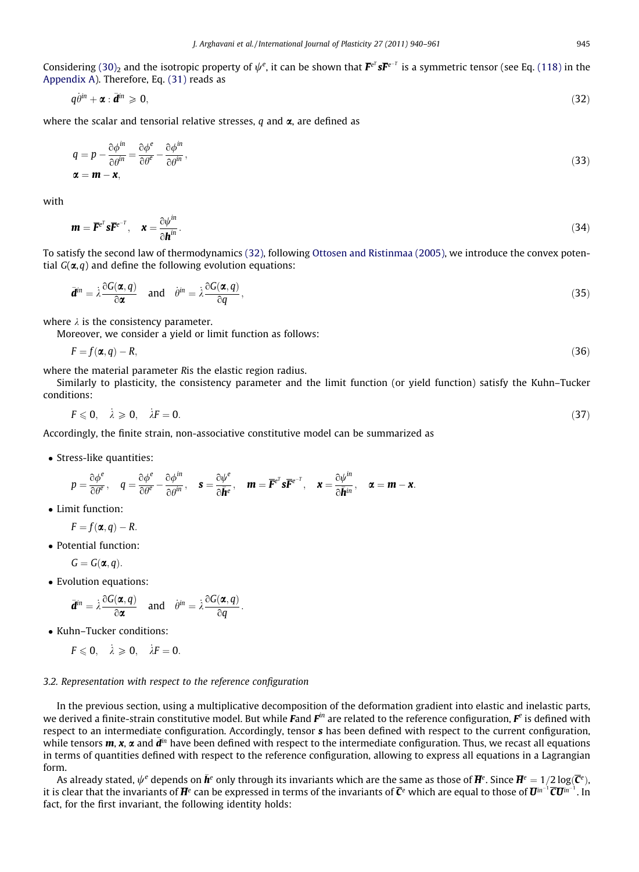<span id="page-5-0"></span>Considering (30)<sub>2</sub> and the isotropic property of  $\psi^e$ , it can be shown that  $\bm{\bar{F}}^{e^T}$ s $\bm{\bar{F}}^{e^-T}$  is a symmetric tensor (see Eq. [\(118\)](#page-18-0) in the Appendix A). Therefore, Eq. [\(31\)](#page-4-0) reads as

$$
q\dot{\theta}^{in} + \boldsymbol{\alpha} : \bar{\boldsymbol{d}}^{in} \geqslant 0, \tag{32}
$$

where the scalar and tensorial relative stresses,  $q$  and  $\alpha$ , are defined as

$$
q = p - \frac{\partial \phi^{in}}{\partial \theta^{in}} = \frac{\partial \phi^{e}}{\partial \theta^{e}} - \frac{\partial \phi^{in}}{\partial \theta^{in}},
$$
  

$$
\alpha = m - x,
$$
 (33)

with

$$
\mathbf{m} = \overline{\mathbf{F}}^{e^T} \mathbf{s} \overline{\mathbf{F}}^{e^{-T}}, \quad \mathbf{x} = \frac{\partial \psi^{in}}{\partial \mathbf{h}^{in}}.
$$
 (34)

To satisfy the second law of thermodynamics (32), following [Ottosen and Ristinmaa \(2005\),](#page-20-0) we introduce the convex potential  $G(\alpha, q)$  and define the following evolution equations:

$$
\bar{\boldsymbol{d}}^{in} = \dot{\lambda} \frac{\partial G(\boldsymbol{\alpha}, q)}{\partial \boldsymbol{\alpha}} \quad \text{and} \quad \dot{\theta}^{in} = \dot{\lambda} \frac{\partial G(\boldsymbol{\alpha}, q)}{\partial q}, \tag{35}
$$

where  $\lambda$  is the consistency parameter.

Moreover, we consider a yield or limit function as follows:

$$
F = f(\alpha, q) - R,\tag{36}
$$

where the material parameter Ris the elastic region radius.

Similarly to plasticity, the consistency parameter and the limit function (or yield function) satisfy the Kuhn–Tucker conditions:

$$
F \leqslant 0, \quad \lambda \geqslant 0, \quad \lambda F = 0. \tag{37}
$$

Accordingly, the finite strain, non-associative constitutive model can be summarized as

• Stress-like quantities:

$$
p = \frac{\partial \phi^e}{\partial \theta^e}, \quad q = \frac{\partial \phi^e}{\partial \theta^e} - \frac{\partial \phi^{in}}{\partial \theta^{in}}, \quad \mathbf{s} = \frac{\partial \psi^e}{\partial \bar{\mathbf{h}}^e}, \quad \mathbf{m} = \overline{\mathbf{F}}^{e^T} \mathbf{s} \overline{\mathbf{F}}^{e^{-T}}, \quad \mathbf{x} = \frac{\partial \psi^{in}}{\partial \bar{\mathbf{h}}^{in}}, \quad \mathbf{x} = \mathbf{m} - \mathbf{x}.
$$

• Limit function:

$$
F=f(\alpha,q)-R.
$$

Potential function:

$$
G=G(\pmb{\alpha},q).
$$

Evolution equations:

$$
\bar{\boldsymbol{d}}^{in} = \lambda \frac{\partial G(\boldsymbol{\alpha},q)}{\partial \boldsymbol{\alpha}} \quad \text{and} \quad \dot{\theta}^{in} = \lambda \frac{\partial G(\boldsymbol{\alpha},q)}{\partial q}.
$$

Kuhn–Tucker conditions:

$$
F\leqslant 0,\quad \dot{\lambda}\geqslant 0,\quad \dot{\lambda}F=0.
$$

#### 3.2. Representation with respect to the reference configuration

In the previous section, using a multiplicative decomposition of the deformation gradient into elastic and inelastic parts, we derived a finite-strain constitutive model. But while Fand  $F^{in}$  are related to the reference configuration,  $F^e$  is defined with respect to an intermediate configuration. Accordingly, tensor s has been defined with respect to the current configuration, while tensors  $m$ , x, x and  $\bar d^{in}$  have been defined with respect to the intermediate configuration. Thus, we recast all equations in terms of quantities defined with respect to the reference configuration, allowing to express all equations in a Lagrangian form.

As already stated,  $\psi^e$  depends on  $\bar{\bm h}^e$  only through its invariants which are the same as those of  $\overline{\bm H}^e$ . Since  $\overline{\bm H}^e=1/2\log(\overline{\bm C}^e)$ , it is clear that the invariants of  $\bm{\overline{H}}^e$  can be expressed in terms of the invariants of  $\bm{\overline{C}}^e$  which are equal to those of  $\bm{\overline{U}}^{in^{-1}}\bm{\overline{C}}\bm{\overline{U}}^{in^{-1}}$ . In fact, for the first invariant, the following identity holds: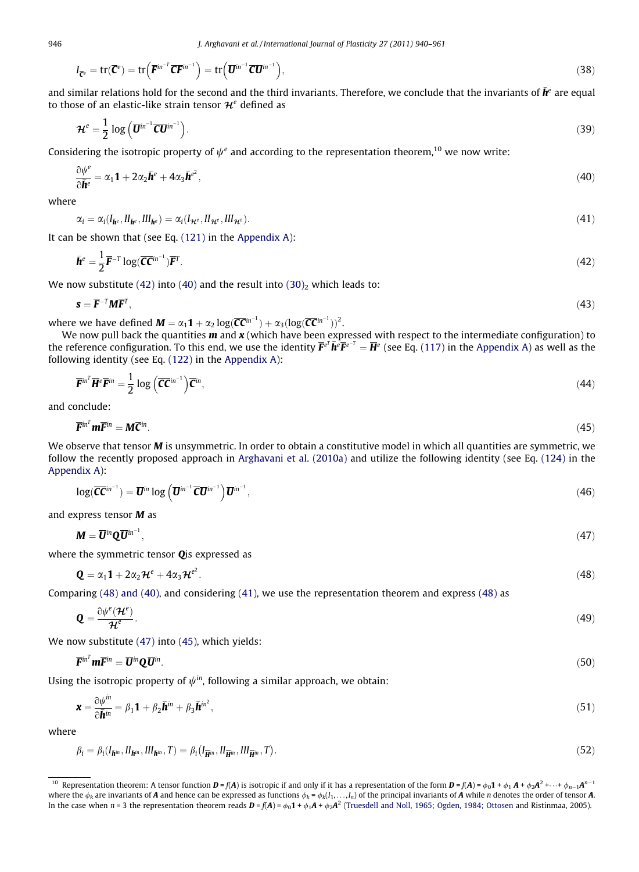<span id="page-6-0"></span>946 J. Arghavani et al. / International Journal of Plasticity 27 (2011) 940–961

$$
I_{\overline{\mathbf{C}}^e} = \operatorname{tr}(\overline{\mathbf{C}}^e) = \operatorname{tr}\left(\overline{\mathbf{F}}^{in^{-1}} \overline{\mathbf{C}} \overline{\mathbf{F}}^{in^{-1}}\right) = \operatorname{tr}\left(\overline{\mathbf{U}}^{in^{-1}} \overline{\mathbf{C}} \overline{\mathbf{U}}^{in^{-1}}\right),\tag{38}
$$

and similar relations hold for the second and the third invariants. Therefore, we conclude that the invariants of  $\bar{\bm h}^e$  are equal to those of an elastic-like strain tensor  $\mathcal{H}^e$  defined as

$$
\mathcal{H}^e = \frac{1}{2} \log \left( \overline{\mathbf{U}}^{in^{-1}} \overline{\mathbf{C}} \overline{\mathbf{U}}^{in^{-1}} \right). \tag{39}
$$

Considering the isotropic property of  $\psi^e$  and according to the representation theorem,<sup>10</sup> we now write:

$$
\frac{\partial \psi^e}{\partial \bar{\mathbf{h}}^e} = \alpha_1 \mathbf{1} + 2\alpha_2 \bar{\mathbf{h}}^e + 4\alpha_3 \bar{\mathbf{h}}^{e^2},\tag{40}
$$

where

$$
\alpha_i = \alpha_i (I_{\bar{h}^e}, II_{\bar{h}^e}, III_{\bar{h}^e}) = \alpha_i (I_{\mathcal{H}^e}, II_{\mathcal{H}^e}, III_{\mathcal{H}^e}).
$$
\n(41)

It can be shown that (see Eq. [\(121\)](#page-18-0) in the Appendix A):

$$
\bar{\mathbf{h}}^e = \frac{1}{2} \bar{\mathbf{F}}^{-T} \log(\overline{\mathbf{C}\mathbf{C}}^{in^{-1}}) \bar{\mathbf{F}}^T. \tag{42}
$$

We now substitute (42) into (40) and the result into [\(30\)](#page-4-0)<sub>2</sub> which leads to:

$$
\mathbf{s} = \overline{\mathbf{F}}^{-T} \mathbf{M} \overline{\mathbf{F}}^T,\tag{43}
$$

where we have defined  $\bm{M} = \alpha_1 \bm{1} + \alpha_2 \log(\overline{\bm{C}\bm{C}}^{in^{-1}}) + \alpha_3 (\log(\overline{\bm{C}\bm{C}}^{in^{-1}}))^2.$ 

We now pull back the quantities  $m$  and  $x$  (which have been expressed with respect to the intermediate configuration) to the reference configuration. To this end, we use the identity  $\bar{F}^{e^T}\bar{h}^e\bar{F}^{e^{-T}}=\overline{H}^e$  (see Eq. [\(117\)](#page-18-0) in the Appendix A) as well as the following identity (see Eq. [\(122\)](#page-19-0) in the Appendix A):

$$
\overline{\mathbf{F}}^{in^T} \overline{\mathbf{H}}^e \overline{\mathbf{F}}^{in} = \frac{1}{2} \log \left( \overline{\mathbf{C} \mathbf{C}}^{in^{-1}} \right) \overline{\mathbf{C}}^{in},\tag{44}
$$

and conclude:

$$
\overline{\mathbf{F}}^{\text{in}^T} \mathbf{m} \overline{\mathbf{F}}^{\text{in}} = \mathbf{M} \overline{\mathbf{C}}^{\text{in}}.
$$
 (45)

We observe that tensor  $M$  is unsymmetric. In order to obtain a constitutive model in which all quantities are symmetric, we follow the recently proposed approach in [Arghavani et al. \(2010a\)](#page-19-0) and utilize the following identity (see Eq. [\(124\)](#page-19-0) in the Appendix A):

$$
\log(\overline{CC}^{in^{-1}}) = \overline{\mathbf{U}}^{in} \log \left( \overline{\mathbf{U}}^{in^{-1}} \overline{\mathbf{C}} \overline{\mathbf{U}}^{in^{-1}} \right) \overline{\mathbf{U}}^{in^{-1}},\tag{46}
$$

and express tensor M as

$$
\mathbf{M} = \overline{\mathbf{U}}^{\text{in}} \mathbf{Q} \overline{\mathbf{U}}^{\text{in}^{-1}},\tag{47}
$$

where the symmetric tensor **Q**is expressed as

$$
\mathbf{Q} = \alpha_1 \mathbf{1} + 2\alpha_2 \mathcal{H}^e + 4\alpha_3 \mathcal{H}^{e^2}.
$$
 (48)

Comparing  $(48)$  and  $(40)$ , and considering  $(41)$ , we use the representation theorem and express  $(48)$  as

$$
\mathbf{Q} = \frac{\partial \psi^e(\mathcal{H}^e)}{\mathcal{H}^e}.
$$
(49)

We now substitute (47) into (45), which yields:

$$
\overline{\mathbf{F}}^{\text{in}}^{\mathsf{T}}\mathbf{m}\overline{\mathbf{F}}^{\text{in}} = \overline{\mathbf{U}}^{\text{in}}\mathbf{Q}\overline{\mathbf{U}}^{\text{in}}.
$$

Using the isotropic property of  $\psi^{in}$ , following a similar approach, we obtain:

$$
\mathbf{x} = \frac{\partial \psi^{in}}{\partial \bar{\mathbf{h}}^{in}} = \beta_1 \mathbf{1} + \beta_2 \bar{\mathbf{h}}^{in} + \beta_3 \bar{\mathbf{h}}^{in^2},\tag{51}
$$

where

$$
\beta_i = \beta_i (I_{\bar{h}^{in}}, H_{\bar{h}^{in}}, III_{\bar{h}^{in}}, T) = \beta_i (I_{\overline{H}^{in}}, H_{\overline{H}^{in}}, III_{\overline{H}^{in}}, T). \tag{52}
$$

 $^{10}$  Representation theorem: A tensor function  $\bm{D} = \bm{\mathit{f(A)}}$  is isotropic if and only if it has a representation of the form  $\bm{D} = \bm{\mathit{f(A)}} = \phi_0 \bm{1} + \phi_1 \bm{A} + \phi_2 \bm{A}^2 + \cdots + \phi_{n-1} \bm{A}^{n-1}$ where the  $\phi_k$  are invariants of A and hence can be expressed as functions  $\phi_k = \phi_k(I_1, \ldots, I_n)$  of the principal invariants of A while n denotes the order of tensor A. In the case when  $n = 3$  the representation theorem reads  $\mathbf{D} = f(\mathbf{A}) = \phi_0 \mathbf{1} + \phi_1 \mathbf{A} + \phi_2 \mathbf{A}^2$  [\(Truesdell and Noll, 1965; Ogden, 1984; Ottosen](#page-21-0) and Ristinmaa, 2005).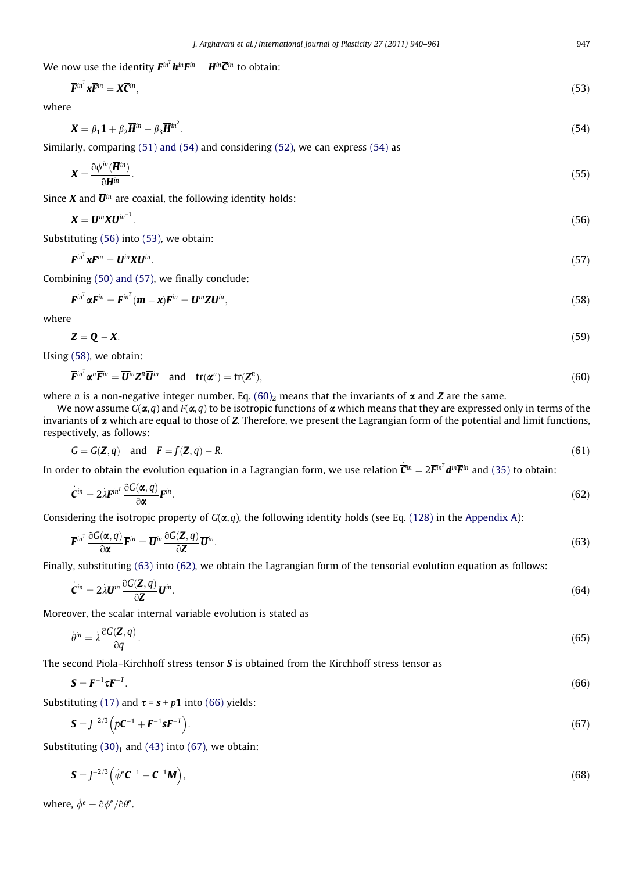<span id="page-7-0"></span>
$$
\overline{\mathbf{F}}^{in^T} \mathbf{x} \overline{\mathbf{F}}^{in} = \mathbf{X} \overline{\mathbf{C}}^{in},\tag{53}
$$

where

$$
\mathbf{X} = \beta_1 \mathbf{1} + \beta_2 \overline{\mathbf{H}}^{\text{in}} + \beta_3 \overline{\mathbf{H}}^{\text{in}^2}.\tag{54}
$$

Similarly, comparing [\(51\) and \(54\)](#page-6-0) and considering [\(52\)](#page-6-0), we can express (54) as

$$
\mathbf{X} = \frac{\partial \psi^{in}(\overline{\mathbf{H}}^{in})}{\partial \overline{\mathbf{H}}^{in}}.
$$
\n(55)

Since **X** and  $\overline{U}$ <sup>in</sup> are coaxial, the following identity holds:

$$
\mathbf{X} = \overline{\mathbf{U}}^{\text{in}} \mathbf{X} \overline{\mathbf{U}}^{\text{in}^{-1}}. \tag{56}
$$

Substituting (56) into (53), we obtain:

$$
\overline{F}^{in^T}x\overline{F}^{in} = \overline{U}^{in}X\overline{U}^{in}.
$$
\n(57)

Combining [\(50\) and \(57\)](#page-6-0), we finally conclude:

$$
\overline{\mathbf{F}}^{in^T} \alpha \overline{\mathbf{F}}^{in} = \overline{\mathbf{F}}^{in^T} (\mathbf{m} - \mathbf{x}) \overline{\mathbf{F}}^{in} = \overline{\mathbf{U}}^{in} \mathbf{Z} \overline{\mathbf{U}}^{in},\tag{58}
$$

where

$$
Z = Q - X.\tag{59}
$$

Using (58), we obtain:

$$
\overline{\mathbf{F}}^{\text{in}^T} \boldsymbol{\alpha}^n \overline{\mathbf{F}}^{\text{in}} = \overline{\mathbf{U}}^{\text{in}} \mathbf{Z}^n \overline{\mathbf{U}}^{\text{in}} \quad \text{and} \quad tr(\boldsymbol{\alpha}^n) = tr(\mathbf{Z}^n), \tag{60}
$$

where *n* is a non-negative integer number. Eq. (60)<sub>2</sub> means that the invariants of  $\alpha$  and **Z** are the same.

We now assume  $G(\alpha, q)$  and  $F(\alpha, q)$  to be isotropic functions of  $\alpha$  which means that they are expressed only in terms of the invariants of  $\alpha$  which are equal to those of Z. Therefore, we present the Lagrangian form of the potential and limit functions, respectively, as follows:

$$
G = G(Z, q) \quad \text{and} \quad F = f(Z, q) - R. \tag{61}
$$

In order to obtain the evolution equation in a Lagrangian form, we use relation  $\dot{\overline{\bf{\cal{C}}}^{in}}=2\overline{\pmb{F}}^{in^T}\bar{\pmb{d}}^{in}\overline{\pmb{F}}^{in}$  and [\(35\)](#page-5-0) to obtain:

$$
\dot{\overline{\mathbf{C}}}^{\text{in}} = 2\lambda \overline{\mathbf{F}}^{\text{in}^T} \frac{\partial G(\mathbf{\alpha}, q)}{\partial \mathbf{\alpha}} \overline{\mathbf{F}}^{\text{in}}.
$$
\n(62)

Considering the isotropic property of  $G(\alpha,q)$ , the following identity holds (see Eq. [\(128\)](#page-19-0) in the Appendix A):

$$
\overline{\mathbf{F}}^{\text{in}^T} \frac{\partial G(\mathbf{x}, q)}{\partial \mathbf{x}} \overline{\mathbf{F}}^{\text{in}} = \overline{\mathbf{U}}^{\text{in}} \frac{\partial G(\mathbf{Z}, q)}{\partial \mathbf{Z}} \overline{\mathbf{U}}^{\text{in}}.
$$
\n(63)

Finally, substituting (63) into (62), we obtain the Lagrangian form of the tensorial evolution equation as follows:

$$
\dot{\overline{\mathbf{C}}}^{in} = 2\lambda \overline{\mathbf{U}}^{in} \frac{\partial G(\mathbf{Z}, q)}{\partial \mathbf{Z}} \overline{\mathbf{U}}^{in}.
$$

Moreover, the scalar internal variable evolution is stated as

$$
\dot{\theta}^{\text{in}} = \dot{\lambda} \frac{\partial G(\mathbf{Z}, q)}{\partial q}.
$$
\n(65)

The second Piola–Kirchhoff stress tensor  $S$  is obtained from the Kirchhoff stress tensor as

$$
\mathbf{S} = \mathbf{F}^{-1} \tau \mathbf{F}^{-T}.\tag{66}
$$

Substituting [\(17\)](#page-3-0) and  $\tau = s + p1$  into (66) yields:

$$
\mathbf{S} = J^{-2/3} \left( p \overline{\mathbf{C}}^{-1} + \overline{\mathbf{F}}^{-1} \mathbf{s} \overline{\mathbf{F}}^{-T} \right). \tag{67}
$$

Substituting  $(30)_1$  $(30)_1$  and  $(43)$  into  $(67)$ , we obtain:

$$
\mathbf{S} = J^{-2/3} \left( \phi^e \overline{\mathbf{C}}^{-1} + \overline{\mathbf{C}}^{-1} \mathbf{M} \right),\tag{68}
$$

where,  $\acute{\phi}^e = \partial \phi^e / \partial \theta^e$ .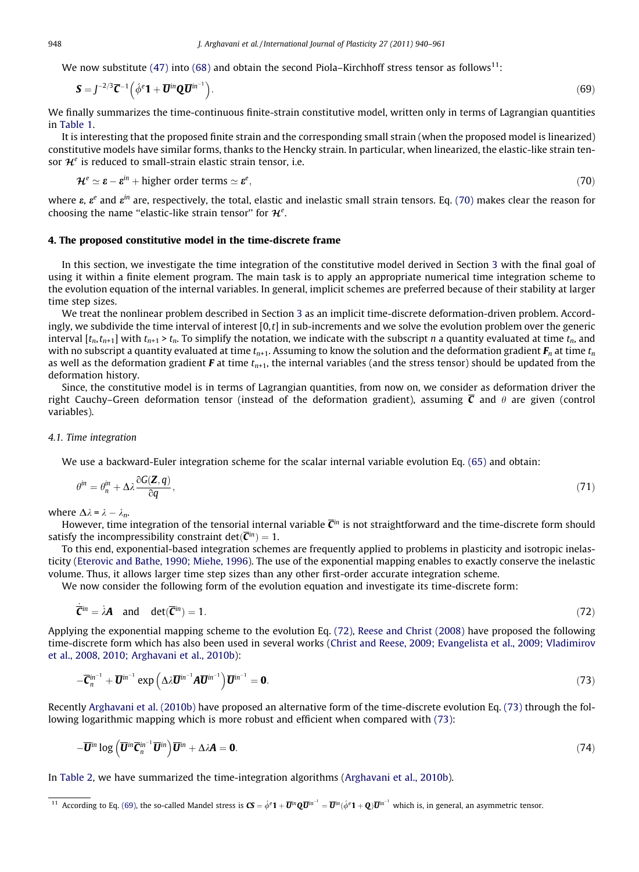<span id="page-8-0"></span>We now substitute [\(47\)](#page-6-0) into [\(68\)](#page-7-0) and obtain the second Piola–Kirchhoff stress tensor as follows<sup>11</sup>:

$$
\mathbf{S} = J^{-2/3}\overline{\mathbf{C}}^{-1}\left(\dot{\phi}^e \mathbf{1} + \overline{\mathbf{U}}^{in} \mathbf{Q} \overline{\mathbf{U}}^{in^{-1}}\right).
$$
 (69)

We finally summarizes the time-continuous finite-strain constitutive model, written only in terms of Lagrangian quantities in [Table 1.](#page-9-0)

It is interesting that the proposed finite strain and the corresponding small strain (when the proposed model is linearized) constitutive models have similar forms, thanks to the Hencky strain. In particular, when linearized, the elastic-like strain tensor  $\mathcal{H}^e$  is reduced to small-strain elastic strain tensor, i.e.

$$
\mathcal{H}^e \simeq \mathbf{\varepsilon} - \mathbf{\varepsilon}^{\text{in}} + \text{higher order terms} \simeq \mathbf{\varepsilon}^e,\tag{70}
$$

where  $\varepsilon$ ,  $\varepsilon^e$  and  $\varepsilon^{in}$  are, respectively, the total, elastic and inelastic small strain tensors. Eq. (70) makes clear the reason for choosing the name "elastic-like strain tensor" for  $\mathcal{H}^e$ .

### 4. The proposed constitutive model in the time-discrete frame

In this section, we investigate the time integration of the constitutive model derived in Section 3 with the final goal of using it within a finite element program. The main task is to apply an appropriate numerical time integration scheme to the evolution equation of the internal variables. In general, implicit schemes are preferred because of their stability at larger time step sizes.

We treat the nonlinear problem described in Section 3 as an implicit time-discrete deformation-driven problem. Accordingly, we subdivide the time interval of interest  $[0,t]$  in sub-increments and we solve the evolution problem over the generic interval  $[t_n,t_{n+1}]$  with  $t_{n+1} > t_n$ . To simplify the notation, we indicate with the subscript n a quantity evaluated at time  $t_n$ , and with no subscript a quantity evaluated at time  $t_{n+1}$ . Assuming to know the solution and the deformation gradient  $F_n$  at time  $t_n$ as well as the deformation gradient **F** at time  $t_{n+1}$ , the internal variables (and the stress tensor) should be updated from the deformation history.

Since, the constitutive model is in terms of Lagrangian quantities, from now on, we consider as deformation driver the right Cauchy–Green deformation tensor (instead of the deformation gradient), assuming  $\bar{c}$  and  $\theta$  are given (control variables).

#### 4.1. Time integration

We use a backward-Euler integration scheme for the scalar internal variable evolution Eq. [\(65\)](#page-7-0) and obtain:

$$
\theta^{in} = \theta_n^{in} + \Delta \lambda \frac{\partial G(\mathbf{Z}, q)}{\partial q},\tag{71}
$$

where  $\Delta \lambda = \lambda - \lambda_n$ .

However, time integration of the tensorial internal variable  $\bar{C}^{in}$  is not straightforward and the time-discrete form should satisfy the incompressibility constraint det $(\overline{\mathbf{C}}^{in}) = 1$ .

To this end, exponential-based integration schemes are frequently applied to problems in plasticity and isotropic inelasticity ([Eterovic and Bathe, 1990; Miehe, 1996](#page-20-0)). The use of the exponential mapping enables to exactly conserve the inelastic volume. Thus, it allows larger time step sizes than any other first-order accurate integration scheme.

We now consider the following form of the evolution equation and investigate its time-discrete form:

$$
\dot{\overline{C}}^{in} = \dot{\lambda}A \quad \text{and} \quad \det(\overline{C}^{in}) = 1. \tag{72}
$$

Applying the exponential mapping scheme to the evolution Eq. (72), [Reese and Christ \(2008\)](#page-20-0) have proposed the following time-discrete form which has also been used in several works ([Christ and Reese, 2009; Evangelista et al., 2009; Vladimirov](#page-19-0) [et al., 2008, 2010; Arghavani et al., 2010b](#page-19-0)):

$$
-\overline{\mathbf{C}}_n^{in^{-1}} + \overline{\mathbf{U}}^{in^{-1}} \exp\left(\Delta \lambda \overline{\mathbf{U}}^{in^{-1}} \mathbf{A} \overline{\mathbf{U}}^{in^{-1}}\right) \overline{\mathbf{U}}^{in^{-1}} = \mathbf{0}.
$$
\n(73)

Recently [Arghavani et al. \(2010b\)](#page-19-0) have proposed an alternative form of the time-discrete evolution Eq. (73) through the following logarithmic mapping which is more robust and efficient when compared with (73):

$$
-\overline{\mathbf{U}}^{in}\log\left(\overline{\mathbf{U}}^{in}\overline{\mathbf{C}}_n^{in-1}\overline{\mathbf{U}}^{in}\right)\overline{\mathbf{U}}^{in}+\Delta\lambda\mathbf{A}=\mathbf{0}.
$$
\n(74)

In [Table 2](#page-9-0), we have summarized the time-integration algorithms [\(Arghavani et al., 2010b\)](#page-19-0).

<sup>11</sup> According to Eq. (69), the so-called Mandel stress is  $\mathbf{C} = \acute{\phi}^e \mathbf{1} + \overline{\mathbf{U}}^{\text{in}} \mathbf{Q} \overline{\mathbf{U}}^{\text{in}^{-1}} = \overline{\mathbf{U}}^{\text{in}} (\acute{\phi}^e \mathbf{1} + \mathbf{Q}) \overline{\mathbf{U}}^{\text{in}^{-1}}$  which is, in general, an asymmetric tensor.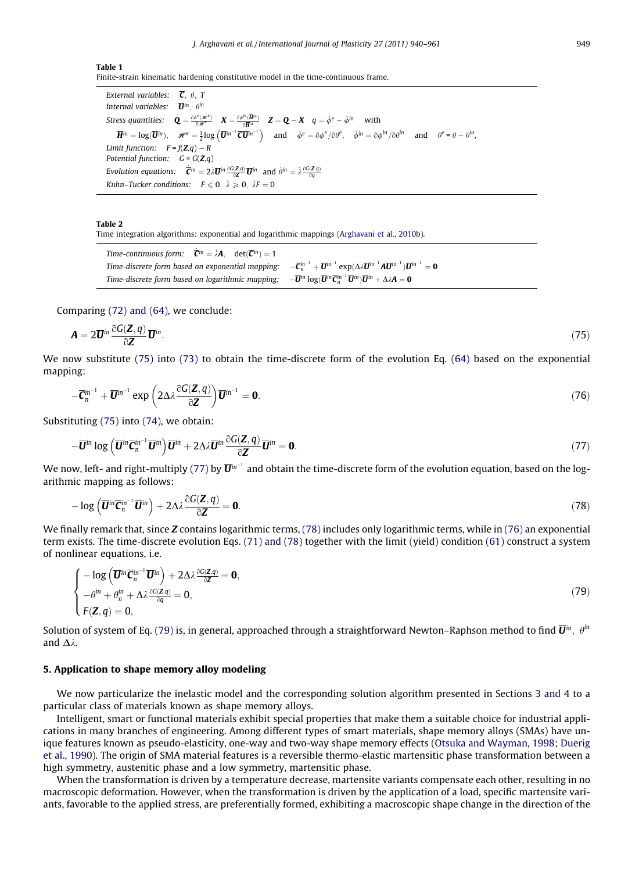#### <span id="page-9-0"></span>Table 1

Finite-strain kinematic hardening constitutive model in the time-continuous frame.

External variables:  $\overline{C}$   $\theta$   $T$ Internal variables:  $\overline{\mathbf{U}}^{in}$ ,  $\theta^{in}$ Stress quantities:  $\mathbf{Q} = \frac{\partial \phi^e (\mathcal{H}^e)}{\partial \mathcal{H}^e}$   $\mathbf{X} = \frac{\partial \phi^{\text{in}} (\overline{\mathbf{H}}^{\text{in}})}{\partial \overline{\mathbf{H}}^{\text{in}}}$   $\mathbf{Z} = \mathbf{Q} - \mathbf{X}$   $q = \hat{\phi}^e - \hat{\phi}^{\text{in}}$  with  $\overline{\mathbf{H}}^{in} = \log(\overline{\mathbf{U}}^{in}), \quad \mathcal{H}^{e} = \frac{1}{2} \log \left( \overline{\mathbf{U}}^{in^{-1}} \overline{\mathbf{C}} \overline{\mathbf{U}}^{in^{-1}} \right) \quad \text{and} \quad \hat{\phi}^{e} = \partial \phi^{e} / \partial \theta^{e}, \quad \hat{\phi}^{in} = \partial \phi^{in} / \partial \theta^{in} \quad \text{and} \quad \theta^{e} = \theta - \theta^{in}$ Limit function:  $F = f(Z,q) - R$ Potential function:  $G = G(\mathbf{Z}, q)$ Evolution equations:  $\dot{\overline{\bf C}}^{in} = 2\lambda \overline{\bf U}^{in} \frac{\partial G({\bf Z},q)}{\partial {\bf Z}} \overline{\bf U}^{in}$  and  $\dot{\theta}^{in} = \lambda \frac{\partial G({\bf Z},q)}{\partial q}$ Kuhn–Tucker conditions:  $F \leq 0$ ,  $\lambda \geq 0$ ,  $\lambda F = 0$ 

#### Table 2

Time integration algorithms: exponential and logarithmic mappings ([Arghavani et al., 2010b](#page-19-0)).

Time-continuous form:  $\dot{\overline{C}}^{in} = \dot{\lambda}A$ ,  $\det(\overline{C}^{in}) = 1$ Time-discrete form based on exponential mapping:  $\overline{\mathbf{C}}_{n}^{in^{-1}}+\overline{\mathbf{U}}^{in^{-1}}\exp(\Delta\lambda\overline{\mathbf{U}}^{in^{-1}}\mathbf{A}\overline{\mathbf{U}}^{in^{-1}})\overline{\mathbf{U}}^{in^{-1}}=\mathbf{0}$ Time-discrete form based on logarithmic mapping: - $\overline{\bm{U}}^{in} \log(\overline{\bm{U}}^{in} \overline{\bm{C}}^{in}^{\,-1} \overline{\bm{U}}^{in}) \overline{\bm{U}}^{in} + \Delta \lambda \bm{A} = \bm{0}$ 

Comparing [\(72\) and \(64\),](#page-8-0) we conclude:

$$
\mathbf{A} = 2\overline{\mathbf{U}}^{\text{in}} \frac{\partial G(\mathbf{Z}, q)}{\partial \mathbf{Z}} \overline{\mathbf{U}}^{\text{in}}.
$$
 (75)

We now substitute (75) into [\(73\)](#page-8-0) to obtain the time-discrete form of the evolution Eq. [\(64\)](#page-7-0) based on the exponential mapping:

$$
-\overline{\mathbf{C}}_n^{in^{-1}} + \overline{\mathbf{U}}^{in^{-1}} \exp\left(2\Delta\lambda \frac{\partial G(\mathbf{Z}, q)}{\partial \mathbf{Z}}\right) \overline{\mathbf{U}}^{in^{-1}} = \mathbf{0}.
$$
 (76)

Substituting (75) into [\(74\)](#page-8-0), we obtain:

$$
-\overline{\mathbf{U}}^{in}\log\left(\overline{\mathbf{U}}^{in}\overline{\mathbf{C}}_n^{in^{-1}}\overline{\mathbf{U}}^{in}\right)\overline{\mathbf{U}}^{in}+2\Delta\lambda\overline{\mathbf{U}}^{in}\frac{\partial G(\mathbf{Z},q)}{\partial \mathbf{Z}}\overline{\mathbf{U}}^{in}=\mathbf{0}.
$$
\n(77)

We now, left- and right-multiply (77) by  $\overline{\bm{U}}^{in^{-1}}$  and obtain the time-discrete form of the evolution equation, based on the logarithmic mapping as follows:

$$
-\log\left(\overline{\mathbf{U}}^{\text{in}}\overline{\mathbf{C}}_n^{\text{in}^{-1}}\overline{\mathbf{U}}^{\text{in}}\right) + 2\Delta\lambda \frac{\partial G(\mathbf{Z},q)}{\partial \mathbf{Z}} = \mathbf{0}.\tag{78}
$$

We finally remark that, since Z contains logarithmic terms, (78) includes only logarithmic terms, while in (76) an exponential term exists. The time-discrete evolution Eqs. [\(71\) and \(78\)](#page-8-0) together with the limit (yield) condition [\(61\)](#page-7-0) construct a system of nonlinear equations, i.e.

$$
\begin{cases}\n-\log\left(\overline{\mathbf{U}}^{in}\overline{\mathbf{C}}_{n}^{in^{-1}}\overline{\mathbf{U}}^{in}\right)+2\Delta\lambda\frac{\partial C(Z,q)}{\partial Z}=\mathbf{0},\\
-\theta^{in}+\theta_{n}^{in}+\Delta\lambda\frac{\partial C(Z,q)}{\partial q}=\mathbf{0},\\
F(Z,q)=0,\n\end{cases}
$$
\n(79)

Solution of system of Eq. (79) is, in general, approached through a straightforward Newton–Raphson method to find  $\vec{U}^{in}$ ,  $\theta^{in}$ and  $\Delta \lambda$ .

# 5. Application to shape memory alloy modeling

We now particularize the inelastic model and the corresponding solution algorithm presented in Sections 3 and 4 to a particular class of materials known as shape memory alloys.

Intelligent, smart or functional materials exhibit special properties that make them a suitable choice for industrial applications in many branches of engineering. Among different types of smart materials, shape memory alloys (SMAs) have unique features known as pseudo-elasticity, one-way and two-way shape memory effects ([Otsuka and Wayman, 1998; Duerig](#page-20-0) [et al., 1990](#page-20-0)). The origin of SMA material features is a reversible thermo-elastic martensitic phase transformation between a high symmetry, austenitic phase and a low symmetry, martensitic phase.

When the transformation is driven by a temperature decrease, martensite variants compensate each other, resulting in no macroscopic deformation. However, when the transformation is driven by the application of a load, specific martensite variants, favorable to the applied stress, are preferentially formed, exhibiting a macroscopic shape change in the direction of the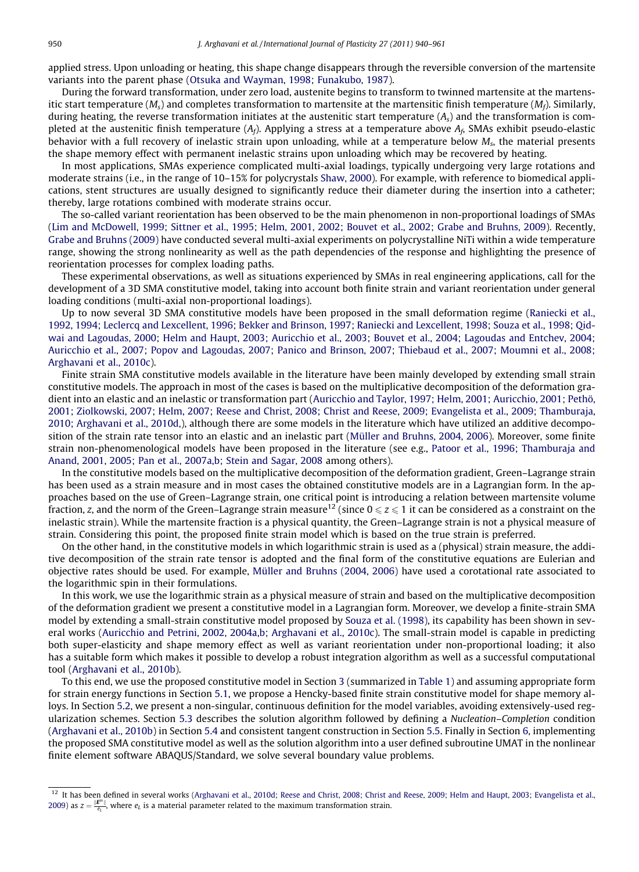applied stress. Upon unloading or heating, this shape change disappears through the reversible conversion of the martensite variants into the parent phase ([Otsuka and Wayman, 1998; Funakubo, 1987](#page-20-0)).

During the forward transformation, under zero load, austenite begins to transform to twinned martensite at the martensitic start temperature ( $M_s$ ) and completes transformation to martensite at the martensitic finish temperature ( $M_f$ ). Similarly, during heating, the reverse transformation initiates at the austenitic start temperature  $(A_s)$  and the transformation is completed at the austenitic finish temperature  $(A_f)$ . Applying a stress at a temperature above  $A_f$ , SMAs exhibit pseudo-elastic behavior with a full recovery of inelastic strain upon unloading, while at a temperature below  $M_s$ , the material presents the shape memory effect with permanent inelastic strains upon unloading which may be recovered by heating.

In most applications, SMAs experience complicated multi-axial loadings, typically undergoing very large rotations and moderate strains (i.e., in the range of 10–15% for polycrystals [Shaw, 2000\)](#page-20-0). For example, with reference to biomedical applications, stent structures are usually designed to significantly reduce their diameter during the insertion into a catheter; thereby, large rotations combined with moderate strains occur.

The so-called variant reorientation has been observed to be the main phenomenon in non-proportional loadings of SMAs [\(Lim and McDowell, 1999; Sittner et al., 1995; Helm, 2001, 2002; Bouvet et al., 2002; Grabe and Bruhns, 2009](#page-20-0)). Recently, [Grabe and Bruhns \(2009\)](#page-20-0) have conducted several multi-axial experiments on polycrystalline NiTi within a wide temperature range, showing the strong nonlinearity as well as the path dependencies of the response and highlighting the presence of reorientation processes for complex loading paths.

These experimental observations, as well as situations experienced by SMAs in real engineering applications, call for the development of a 3D SMA constitutive model, taking into account both finite strain and variant reorientation under general loading conditions (multi-axial non-proportional loadings).

Up to now several 3D SMA constitutive models have been proposed in the small deformation regime [\(Raniecki et al.,](#page-20-0) [1992, 1994; Leclercq and Lexcellent, 1996; Bekker and Brinson, 1997; Raniecki and Lexcellent, 1998; Souza et al., 1998; Qid](#page-20-0)[wai and Lagoudas, 2000; Helm and Haupt, 2003; Auricchio et al., 2003; Bouvet et al., 2004; Lagoudas and Entchev, 2004;](#page-20-0) [Auricchio et al., 2007; Popov and Lagoudas, 2007; Panico and Brinson, 2007; Thiebaud et al., 2007; Moumni et al., 2008;](#page-20-0) [Arghavani et al., 2010c](#page-20-0)).

Finite strain SMA constitutive models available in the literature have been mainly developed by extending small strain constitutive models. The approach in most of the cases is based on the multiplicative decomposition of the deformation gradient into an elastic and an inelastic or transformation part ([Auricchio and Taylor, 1997; Helm, 2001; Auricchio, 2001; Pethö,](#page-19-0) [2001; Ziolkowski, 2007; Helm, 2007; Reese and Christ, 2008; Christ and Reese, 2009; Evangelista et al., 2009; Thamburaja,](#page-19-0) [2010; Arghavani et al., 2010d,](#page-19-0)), although there are some models in the literature which have utilized an additive decomposition of the strain rate tensor into an elastic and an inelastic part [\(Müller and Bruhns, 2004, 2006](#page-20-0)). Moreover, some finite strain non-phenomenological models have been proposed in the literature (see e.g., [Patoor et al., 1996; Thamburaja and](#page-20-0) [Anand, 2001, 2005; Pan et al., 2007a,b; Stein and Sagar, 2008](#page-20-0) among others).

In the constitutive models based on the multiplicative decomposition of the deformation gradient, Green–Lagrange strain has been used as a strain measure and in most cases the obtained constitutive models are in a Lagrangian form. In the approaches based on the use of Green–Lagrange strain, one critical point is introducing a relation between martensite volume fraction, z, and the norm of the Green–Lagrange strain measure<sup>12</sup> (since  $0 \le z \le 1$  it can be considered as a constraint on the inelastic strain). While the martensite fraction is a physical quantity, the Green–Lagrange strain is not a physical measure of strain. Considering this point, the proposed finite strain model which is based on the true strain is preferred.

On the other hand, in the constitutive models in which logarithmic strain is used as a (physical) strain measure, the additive decomposition of the strain rate tensor is adopted and the final form of the constitutive equations are Eulerian and objective rates should be used. For example, [Müller and Bruhns \(2004, 2006\)](#page-20-0) have used a corotational rate associated to the logarithmic spin in their formulations.

In this work, we use the logarithmic strain as a physical measure of strain and based on the multiplicative decomposition of the deformation gradient we present a constitutive model in a Lagrangian form. Moreover, we develop a finite-strain SMA model by extending a small-strain constitutive model proposed by [Souza et al. \(1998\)](#page-21-0), its capability has been shown in several works [\(Auricchio and Petrini, 2002, 2004a,b; Arghavani et al., 2010c](#page-19-0)). The small-strain model is capable in predicting both super-elasticity and shape memory effect as well as variant reorientation under non-proportional loading; it also has a suitable form which makes it possible to develop a robust integration algorithm as well as a successful computational tool ([Arghavani et al., 2010b](#page-19-0)).

To this end, we use the proposed constitutive model in Section 3 (summarized in [Table 1](#page-9-0)) and assuming appropriate form for strain energy functions in Section 5.1, we propose a Hencky-based finite strain constitutive model for shape memory alloys. In Section 5.2, we present a non-singular, continuous definition for the model variables, avoiding extensively-used regularization schemes. Section 5.3 describes the solution algorithm followed by defining a Nucleation–Completion condition [\(Arghavani et al., 2010b](#page-19-0)) in Section 5.4 and consistent tangent construction in Section 5.5. Finally in Section 6, implementing the proposed SMA constitutive model as well as the solution algorithm into a user defined subroutine UMAT in the nonlinear finite element software ABAQUS/Standard, we solve several boundary value problems.

<sup>&</sup>lt;sup>12</sup> It has been defined in several works ([Arghavani et al., 2010d; Reese and Christ, 2008; Christ and Reese, 2009; Helm and Haupt, 2003; Evangelista et al.,](#page-19-0) [2009\)](#page-19-0) as  $z=\frac{\|E^m\|}{e_L}$ , where  $e_L$  is a material parameter related to the maximum transformation strain.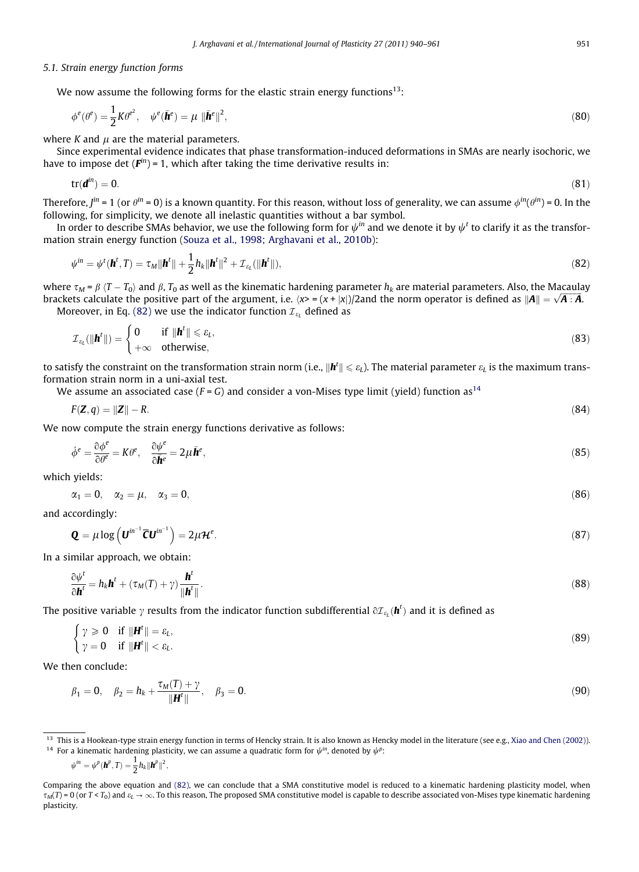# <span id="page-11-0"></span>5.1. Strain energy function forms

We now assume the following forms for the elastic strain energy functions<sup>13</sup>:

$$
\phi^{e}(\theta^{e}) = \frac{1}{2}K\theta^{e^{2}}, \quad \psi^{e}(\bar{\mathbf{h}}^{e}) = \mu \|\bar{\mathbf{h}}^{e}\|^{2},\tag{80}
$$

where  $K$  and  $\mu$  are the material parameters.

Since experimental evidence indicates that phase transformation-induced deformations in SMAs are nearly isochoric, we have to impose det  $(F^{in})$  = 1, which after taking the time derivative results in:

$$
\operatorname{tr}(\boldsymbol{d}^{\text{in}}) = 0. \tag{81}
$$

Therefore,  $j^{\infty}$  = 1 (or  $\theta^{in}$  = 0) is a known quantity. For this reason, without loss of generality, we can assume  $\phi^{in}(\theta^{in})$  = 0. In the following, for simplicity, we denote all inelastic quantities without a bar symbol.

In order to describe SMAs behavior, we use the following form for  $\psi^{in}$  and we denote it by  $\psi^t$  to clarify it as the transformation strain energy function [\(Souza et al., 1998; Arghavani et al., 2010b\)](#page-21-0):

$$
\psi^{in} = \psi^t(\boldsymbol{h}^t, T) = \tau_M \|\boldsymbol{h}^t\| + \frac{1}{2} h_k \|\boldsymbol{h}^t\|^2 + \mathcal{I}_{\varepsilon_L}(\|\boldsymbol{h}^t\|),
$$
\n(82)

where  $\tau_M$  =  $\beta$  (T  $-$  T<sub>0</sub>) and  $\beta$ , T<sub>0</sub> as well as the kinematic hardening parameter  $h_k$  are material parameters. Also, the Macaulay brackets calculate the positive part of the argument, i.e.  $\langle x \rangle = (\chi + |x|)/2$ and the norm operator is defined as  $||A|| = \sqrt{A : A}$ . Moreover, in Eq. (82) we use the indicator function  $\mathcal{I}_{\varepsilon}$  defined as

$$
\mathcal{I}_{\varepsilon_L}(\|\boldsymbol{h}^t\|) = \begin{cases} 0 & \text{if } \|\boldsymbol{h}^t\| \leqslant \varepsilon_L, \\ +\infty & \text{otherwise,} \end{cases}
$$
\n(83)

to satisfy the constraint on the transformation strain norm (i.e.,  $\| \bm{h}^t\| \leqslant \varepsilon_L$ ). The material parameter  $\varepsilon_L$  is the maximum transformation strain norm in a uni-axial test.

We assume an associated case  $(F = G)$  and consider a von-Mises type limit (yield) function as<sup>14</sup>

$$
F(\mathbf{Z}, q) = ||\mathbf{Z}|| - R. \tag{84}
$$

We now compute the strain energy functions derivative as follows:

$$
\dot{\phi}^e = \frac{\partial \phi^e}{\partial \theta^e} = K\theta^e, \quad \frac{\partial \psi^e}{\partial \bar{\mathbf{h}}^e} = 2\mu \bar{\mathbf{h}}^e,\tag{85}
$$

which yields:

$$
\alpha_1 = 0, \quad \alpha_2 = \mu, \quad \alpha_3 = 0,\tag{86}
$$

and accordingly:

$$
\mathbf{Q} = \mu \log \left( \mathbf{U}^{\text{in}^{-1}} \overline{\mathbf{C}} \mathbf{U}^{\text{in}^{-1}} \right) = 2\mu \mathcal{H}^e. \tag{87}
$$

In a similar approach, we obtain:

$$
\frac{\partial \psi^t}{\partial \mathbf{h}^t} = h_k \mathbf{h}^t + (\tau_M(T) + \gamma) \frac{\mathbf{h}^t}{\|\mathbf{h}^t\|}.
$$
\n(88)

The positive variable  $\gamma$  results from the indicator function subdifferential  $\mathfrak{d} \mathcal{I}_{\varepsilon_L}(\pmb{h}^t)$  and it is defined as

$$
\begin{cases} \gamma \geqslant 0 & \text{if } \|\mathbf{H}^t\| = \varepsilon_L, \\ \gamma = 0 & \text{if } \|\mathbf{H}^t\| < \varepsilon_L. \end{cases}
$$
 (89)

We then conclude:

$$
\beta_1 = 0, \quad \beta_2 = h_k + \frac{\tau_M(T) + \gamma}{\|\mathbf{H}^t\|}, \quad \beta_3 = 0.
$$
\n(90)

 $\psi^{in} = \psi^p(\mathbf{h}^p, T) = \frac{1}{2} h_k \|\mathbf{h}^p\|^2,$ 

<sup>&</sup>lt;sup>13</sup> This is a Hookean-type strain energy function in terms of Hencky strain. It is also known as Hencky model in the literature (see e.g., [Xiao and Chen \(2002\)](#page-21-0)). <sup>14</sup> For a kinematic hardening plasticity, we can assume a quadratic form for  $\psi^{in}$ , denoted by  $\psi^p$ :

Comparing the above equation and (82), we can conclude that a SMA constitutive model is reduced to a kinematic hardening plasticity model, when  $\tau_M(T)$  = 0 (or  $T < T_0$ ) and  $\varepsilon_L \to \infty$ . To this reason, The proposed SMA constitutive model is capable to describe associated von-Mises type kinematic hardening plasticity.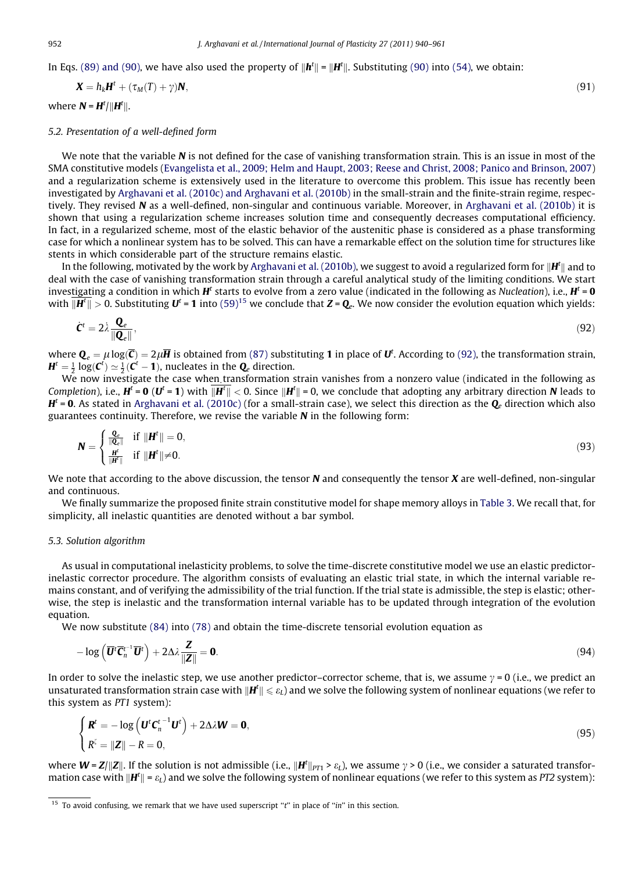<span id="page-12-0"></span>In Eqs. [\(89\) and \(90\)](#page-11-0), we have also used the property of  $\|\bm{h}^t\| = \|\bm{H}^t\|$ . Substituting [\(90\)](#page-11-0) into [\(54\)](#page-7-0), we obtain:

$$
\mathbf{X} = h_k \mathbf{H}^t + (\tau_M(T) + \gamma) \mathbf{N},\tag{91}
$$

where  $\boldsymbol{N} = \boldsymbol{H}^t / ||\boldsymbol{H}^t||$ .

#### 5.2. Presentation of a well-defined form

We note that the variable  $N$  is not defined for the case of vanishing transformation strain. This is an issue in most of the SMA constitutive models ([Evangelista et al., 2009; Helm and Haupt, 2003; Reese and Christ, 2008; Panico and Brinson, 2007](#page-20-0)) and a regularization scheme is extensively used in the literature to overcome this problem. This issue has recently been investigated by [Arghavani et al. \(2010c\) and Arghavani et al. \(2010b\)](#page-19-0) in the small-strain and the finite-strain regime, respectively. They revised N as a well-defined, non-singular and continuous variable. Moreover, in [Arghavani et al. \(2010b\)](#page-19-0) it is shown that using a regularization scheme increases solution time and consequently decreases computational efficiency. In fact, in a regularized scheme, most of the elastic behavior of the austenitic phase is considered as a phase transforming case for which a nonlinear system has to be solved. This can have a remarkable effect on the solution time for structures like stents in which considerable part of the structure remains elastic.

In the following, motivated by the work by [Arghavani et al. \(2010b\)](#page-19-0), we suggest to avoid a regularized form for  $\|H^t\|$  and to deal with the case of vanishing transformation strain through a careful analytical study of the limiting conditions. We start investigating a condition in which  $H^t$  starts to evolve from a zero value (indicated in the following as Nucleation), i.e.,  $H^t = 0$ with  $\|\mathbf{H}^t\| > 0$ . Substituting  $\mathbf{U}^t = \mathbf{1}$  into [\(59\)](#page-7-0)<sup>15</sup> we conclude that  $\mathbf{Z} = \mathbf{Q}_e$ . We now consider the evolution equation which yields:

$$
\dot{\mathbf{C}}^t = 2\dot{\lambda} \frac{\mathbf{Q}_e}{\|\mathbf{Q}_e\|},\tag{92}
$$

where  $\pmb Q_e=\mu\log(\overline{\pmb C})=2\mu\overline{\pmb H}$  is obtained from [\(87\)](#page-11-0) substituting  $\pmb 1$  in place of  $\pmb U^t$ . According to (92), the transformation strain,  $\bm{H}^t = \frac{1}{2} \log(\bm{C}^t) \simeq \frac{1}{2} (\bm{C}^t - \bm{1}),$  nucleates in the  $\bm{Q}_e$  direction.

We now investigate the case when transformation strain vanishes from a nonzero value (indicated in the following as Completion), i.e.,  $H^t = 0$  ( $U^t = 1$ ) with  $||H^t|| < 0$ . Since  $||H^t|| = 0$ , we conclude that adopting any arbitrary direction N leads to  $H^t$  = 0. As stated in [Arghavani et al. \(2010c\)](#page-19-0) (for a small-strain case), we select this direction as the  $Q_e$  direction which also guarantees continuity. Therefore, we revise the variable  $N$  in the following form:

$$
\mathbf{N} = \begin{cases} \frac{\mathbf{Q}_e}{\|\mathbf{Q}_e\|} & \text{if } \|\mathbf{H}^t\| = 0, \\ \frac{\mathbf{H}^t}{\|\mathbf{H}^t\|} & \text{if } \|\mathbf{H}^t\| \neq 0. \end{cases}
$$
(93)

We note that according to the above discussion, the tensor  $N$  and consequently the tensor  $X$  are well-defined, non-singular and continuous.

We finally summarize the proposed finite strain constitutive model for shape memory alloys in [Table 3](#page-13-0). We recall that, for simplicity, all inelastic quantities are denoted without a bar symbol.

#### 5.3. Solution algorithm

As usual in computational inelasticity problems, to solve the time-discrete constitutive model we use an elastic predictorinelastic corrector procedure. The algorithm consists of evaluating an elastic trial state, in which the internal variable remains constant, and of verifying the admissibility of the trial function. If the trial state is admissible, the step is elastic; otherwise, the step is inelastic and the transformation internal variable has to be updated through integration of the evolution equation.

We now substitute [\(84\)](#page-11-0) into [\(78\)](#page-9-0) and obtain the time-discrete tensorial evolution equation as

$$
-\log\left(\overline{\mathbf{U}^t}\overline{\mathbf{C}}_n^{t-1}\overline{\mathbf{U}}^t\right) + 2\Delta\lambda \frac{\mathbf{Z}}{\|\mathbf{Z}\|} = \mathbf{0}.\tag{94}
$$

In order to solve the inelastic step, we use another predictor–corrector scheme, that is, we assume  $\gamma = 0$  (i.e., we predict an unsaturated transformation strain case with  $\| \bm{H}^t \| \leqslant \varepsilon_L$ ) and we solve the following system of nonlinear equations (we refer to this system as PT1 system):

$$
\begin{cases}\n\mathbf{R}^{t} = -\log\left(\mathbf{U}^{t}\mathbf{C}_{n}^{t-1}\mathbf{U}^{t}\right) + 2\Delta\lambda\mathbf{W} = \mathbf{0}, \\
R^{t} = \|\mathbf{Z}\| - R = 0,\n\end{cases}
$$
\n(95)

where  $W$  = Z/||Z||. If the solution is not admissible (i.e.,  $\|H^t\|_{PT1}$  >  $\varepsilon_L$ ), we assume  $\gamma$  > 0 (i.e., we consider a saturated transformation case with  $\| \bm{H}^t \|$  =  $\varepsilon_L$ ) and we solve the following system of nonlinear equations (we refer to this system as PT2 system):

<sup>&</sup>lt;sup>15</sup> To avoid confusing, we remark that we have used superscript "t" in place of "in" in this section.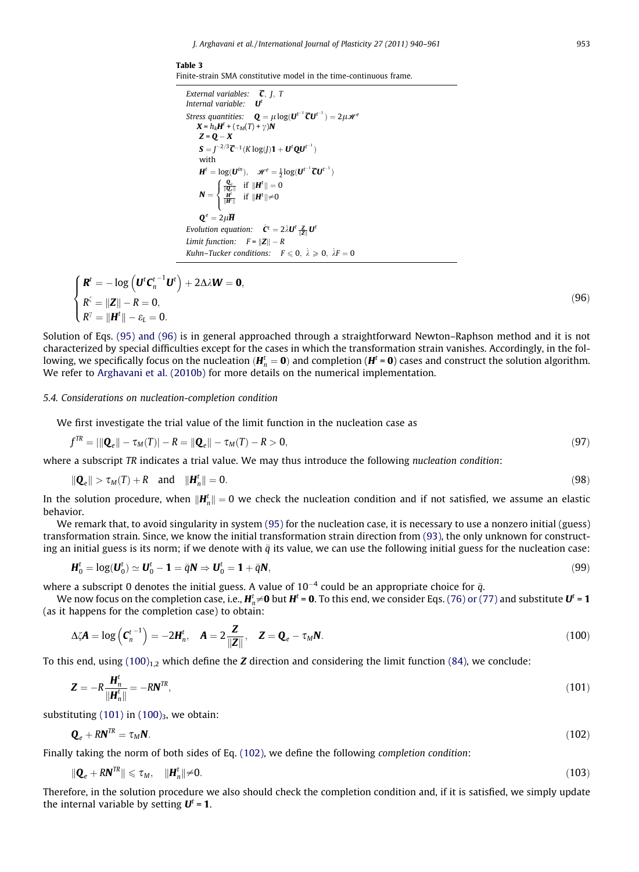#### Table 3

<span id="page-13-0"></span>

|  |  |  | Finite-strain SMA constitutive model in the time-continuous frame. |  |
|--|--|--|--------------------------------------------------------------------|--|
|--|--|--|--------------------------------------------------------------------|--|

External variables:  $\overline{C}$ , J, T Internal variable: U<sup>t</sup> Stress quantities:  $\mathbf{Q} = \mu \log(\mathbf{U}^{t^{-1}} \overline{\mathbf{C}} \mathbf{U}^{t^{-1}}) = 2\mu \mathcal{H}^e$  $\pmb{X} = h_k \pmb{H}^t + (\tau_M(T) + \gamma) \pmb{N}$  $Z = Q - X$  $\boldsymbol{S} = J^{-2/3} \overline{\boldsymbol{C}}^{-1} (K \log(J) \boldsymbol{1} + \boldsymbol{U}^t \boldsymbol{Q} \boldsymbol{U}^{t^{-1}})$ with  $\mathbf{H}^t = \log(\mathbf{U}^{in}), \quad \mathcal{H}^e = \frac{1}{2}\log(\mathbf{U}^{t^{-1}}\overline{\mathbf{C}}\mathbf{U}^{t^{-1}})$  $N =$  $\frac{\mathbf{Q}_e}{\|\mathbf{Q}_e\|}$  if  $\|\mathbf{H}^t\| = 0$ <br> $\frac{\mathbf{H}^t}{\|\mathbf{H}^t\|}$  if  $\|\mathbf{H}^t\| \neq 0$  $\overline{1}$ >:  $\mathbf{Q}^e = 2\mu \overline{\mathbf{H}}$ Evolution equation:  $\dot{\mathbf{C}}^t = 2\lambda \mathbf{U}^t \frac{\mathbf{Z}}{\|\mathbf{Z}\|} \mathbf{U}^t$ Limit function:  $F = ||\mathbf{Z}|| - R$ Kuhn–Tucker conditions:  $F \leq 0$ ,  $\lambda \geq 0$ ,  $\lambda F = 0$ 

$$
\begin{cases}\n\mathbf{R}^{t} = -\log \left( \mathbf{U}^{t} \mathbf{C}_{n}^{t-1} \mathbf{U}^{t} \right) + 2\Delta\lambda \mathbf{W} = \mathbf{0}, \\
R^{t} = \|\mathbf{Z}\| - R = 0, \\
R^{\gamma} = \|\mathbf{H}^{t}\| - \varepsilon_{L} = 0.\n\end{cases}
$$
\n(96)

Solution of Eqs. [\(95\) and \(96\)](#page-12-0) is in general approached through a straightforward Newton–Raphson method and it is not characterized by special difficulties except for the cases in which the transformation strain vanishes. Accordingly, in the following, we specifically focus on the nucleation  $(H_n^t=0)$  and completion ( $H^t=0$ ) cases and construct the solution algorithm. We refer to [Arghavani et al. \(2010b\)](#page-19-0) for more details on the numerical implementation.

#### 5.4. Considerations on nucleation-completion condition

We first investigate the trial value of the limit function in the nucleation case as

$$
f^{TR} = \left|\left\|\mathbf{Q}_e\right\| - \tau_M(T)\right| - R = \left\|\mathbf{Q}_e\right\| - \tau_M(T) - R > 0,\tag{97}
$$

where a subscript TR indicates a trial value. We may thus introduce the following nucleation condition:

$$
\|\mathbf{Q}_e\| > \tau_M(T) + R \quad \text{and} \quad \|\mathbf{H}_n^t\| = 0. \tag{98}
$$

In the solution procedure, when  $\| \bm{H}_n^t \| = 0$  we check the nucleation condition and if not satisfied, we assume an elastic behavior.

We remark that, to avoid singularity in system [\(95\)](#page-12-0) for the nucleation case, it is necessary to use a nonzero initial (guess) transformation strain. Since, we know the initial transformation strain direction from [\(93\)](#page-12-0), the only unknown for constructing an initial guess is its norm; if we denote with  $\bar{q}$  its value, we can use the following initial guess for the nucleation case:

$$
\boldsymbol{H}_0^t = \log(\boldsymbol{U}_0^t) \simeq \boldsymbol{U}_0^t - \boldsymbol{1} = \bar{q}\boldsymbol{N} \Rightarrow \boldsymbol{U}_0^t = \boldsymbol{1} + \bar{q}\boldsymbol{N},\tag{99}
$$

where a subscript 0 denotes the initial guess. A value of  $10^{-4}$  could be an appropriate choice for  $\bar{q}$ .

We now focus on the completion case, i.e.,  $H_n^t\neq$   $0$  but  $H^t$  =  $0$ . To this end, we consider Eqs. [\(76\) or \(77\)](#page-9-0) and substitute  $U^t$  =  $1$ (as it happens for the completion case) to obtain:

$$
\Delta \zeta \mathbf{A} = \log \left( \mathbf{C}_n^{t-1} \right) = -2\mathbf{H}_n^t, \quad \mathbf{A} = 2\frac{\mathbf{Z}}{\|\mathbf{Z}\|}, \quad \mathbf{Z} = \mathbf{Q}_e - \tau_M \mathbf{N}.
$$
\n(100)

To this end, using  $(100)_{1,2}$  which define the **Z** direction and considering the limit function [\(84\),](#page-11-0) we conclude:

$$
Z = -R \frac{H_n^t}{\|H_n^t\|} = -RN^{TR},\tag{101}
$$

substituting  $(101)$  in  $(100)_3$ , we obtain:

$$
\mathbf{Q}_e + R\mathbf{N}^{\mathrm{TR}} = \tau_M \mathbf{N}.\tag{102}
$$

Finally taking the norm of both sides of Eq. (102), we define the following completion condition:

$$
\|\mathbf{Q}_e + R\mathbf{N}^T\| \leq \tau_M, \quad \|\mathbf{H}_h^t\| \neq 0. \tag{103}
$$

Therefore, in the solution procedure we also should check the completion condition and, if it is satisfied, we simply update the internal variable by setting  $U^t = 1$ .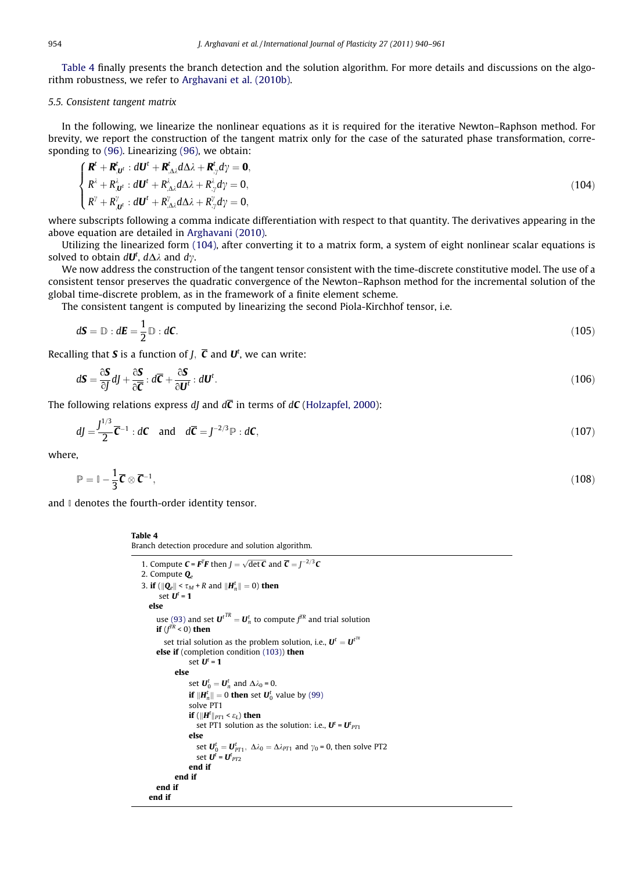<span id="page-14-0"></span>Table 4 finally presents the branch detection and the solution algorithm. For more details and discussions on the algorithm robustness, we refer to [Arghavani et al. \(2010b\)](#page-19-0).

# 5.5. Consistent tangent matrix

In the following, we linearize the nonlinear equations as it is required for the iterative Newton–Raphson method. For brevity, we report the construction of the tangent matrix only for the case of the saturated phase transformation, corresponding to [\(96\)](#page-13-0). Linearizing [\(96\),](#page-13-0) we obtain:

$$
\begin{cases}\n\mathbf{R}^{t} + \mathbf{R}_{\mathbf{U}^{t}}^{t} : d\mathbf{U}^{t} + \mathbf{R}_{\mathbf{A}\lambda}^{t} d\Delta\lambda + \mathbf{R}_{\gamma}^{t} d\gamma = \mathbf{0}, \\
R^{\lambda} + R_{\mathbf{U}^{t}}^{i} : d\mathbf{U}^{t} + R_{\mathbf{A}\lambda}^{\lambda} d\Delta\lambda + R_{\gamma}^{\lambda} d\gamma = 0, \\
R^{\gamma} + R_{\mathbf{U}^{t}}^{\gamma} : d\mathbf{U}^{t} + R_{\mathbf{A}\lambda}^{\gamma} d\Delta\lambda + R_{\gamma}^{\gamma} d\gamma = 0,\n\end{cases}
$$
\n(104)

where subscripts following a comma indicate differentiation with respect to that quantity. The derivatives appearing in the above equation are detailed in [Arghavani \(2010\).](#page-19-0)

Utilizing the linearized form (104), after converting it to a matrix form, a system of eight nonlinear scalar equations is solved to obtain  $d\bm{U}^t$ ,  $d\Delta\lambda$  and  $d\gamma$ .

We now address the construction of the tangent tensor consistent with the time-discrete constitutive model. The use of a consistent tensor preserves the quadratic convergence of the Newton–Raphson method for the incremental solution of the global time-discrete problem, as in the framework of a finite element scheme.

The consistent tangent is computed by linearizing the second Piola-Kirchhof tensor, i.e.

$$
d\mathbf{S} = \mathbb{D} : d\mathbf{E} = \frac{1}{2} \mathbb{D} : d\mathbf{C}.
$$
 (105)

Recalling that S is a function of *J*,  $\overline{C}$  and  $U^t$ , we can write:

$$
d\mathbf{S} = \frac{\partial \mathbf{S}}{\partial J} df + \frac{\partial \mathbf{S}}{\partial \overline{\mathbf{C}}} : d\overline{\mathbf{C}} + \frac{\partial \mathbf{S}}{\partial \mathbf{U}^t} : d\mathbf{U}^t. \tag{106}
$$

The following relations express dJ and  $d\overline{C}$  in terms of  $dC$  ([Holzapfel, 2000\)](#page-20-0):

$$
dJ = \frac{J^{1/3}}{2}\overline{\mathbf{C}}^{-1} : d\mathbf{C} \quad \text{and} \quad d\overline{\mathbf{C}} = J^{-2/3} \mathbb{P} : d\mathbf{C}, \tag{107}
$$

where,

$$
\mathbb{P} = \mathbb{I} - \frac{1}{3}\overline{\mathbf{C}} \otimes \overline{\mathbf{C}}^{-1},\tag{108}
$$

and I denotes the fourth-order identity tensor.

Table 4

Branch detection procedure and solution algorithm.

```
1. Compute \mathbf{C} = \mathbf{F}^T \mathbf{F} then J = \sqrt{\det \mathbf{C}} and \overline{\mathbf{C}} = J^{-2/3} \mathbf{C}2. Compute \mathbf{Q}_e3. if (\|\mathbf{Q}_e\| \leq \tau_M + R and \|\mathbf{H}_n^t\| = 0) then
       set U^t = 1else
       (93) and set \boldsymbol{U}^{t^{\mathit{TR}}}=\boldsymbol{U}_n^t to compute f^{\mathit{TR}} and trial solution
       if (f^{TR} < 0) then
          set trial solution as the problem solution, i.e., U^t = U^{t^{\text{TR}}}(103)) then
                     set U^t = 1else
                      set \mathbf{U}_0^t = \mathbf{U}_n^t and \Delta \lambda_0 = 0.
                      if \|\mathbf{H}_n^t\| = 0 then set \mathbf{U}_0^t(99)
                      solve PT1
                      if (\|\boldsymbol{H}^t\|_{PT1} \leq \varepsilon_L) then
                          set PT1 solution as the solution: i.e., U^t = U^t_{PT1}else
                          set \mathbf{U}_0^t = \mathbf{U}_{PT1}^t, \Delta \lambda_0 = \Delta \lambda_{PT1} and \gamma_0 = 0, then solve PT2
                          set \boldsymbol{U}^t = \boldsymbol{U}^t{}_{PT2}end if
               end if
      end if
   end if
```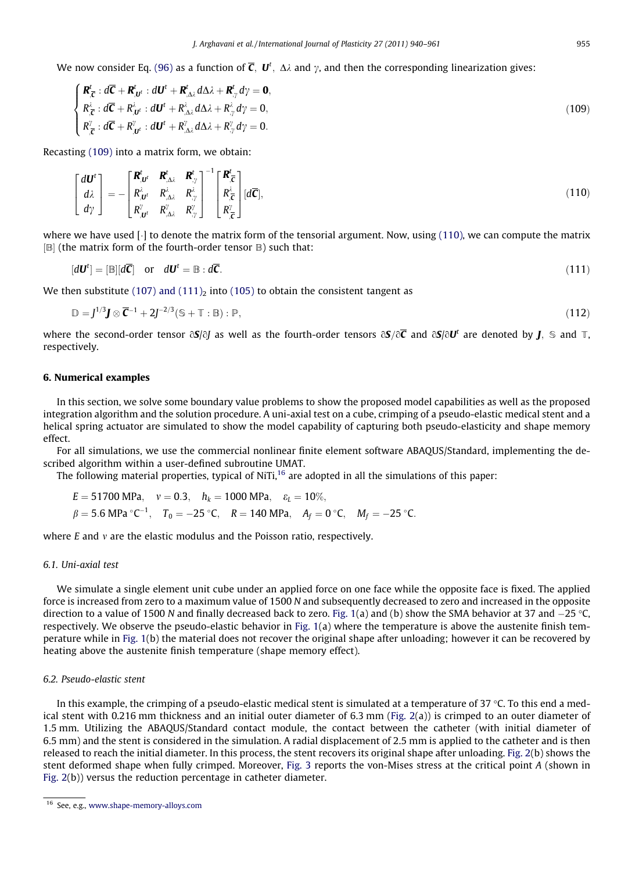We now consider Eq. [\(96\)](#page-13-0) as a function of  $\overline{c}$ ,  $\bm{U}^t$ ,  $\Delta\lambda$  and  $\gamma$ , and then the corresponding linearization gives:

$$
\begin{cases}\n\mathbf{R}_{\overline{c}}^t : d\overline{\mathbf{C}} + \mathbf{R}_{\overline{c}}^t : d\mathbf{U}^t + \mathbf{R}_{\overline{c}}^t \Delta \lambda + \mathbf{R}_{\overline{c}}^t d\gamma = \mathbf{0}, \\
R_{\overline{c}}^2 : d\overline{\mathbf{C}} + R_{\overline{c}}^{\lambda} u : d\mathbf{U}^t + R_{\overline{c}}^{\lambda} \Delta \lambda + R_{\overline{c}}^{\lambda} d\gamma = 0, \\
R_{\overline{c}}^v : d\overline{\mathbf{C}} + R_{\overline{c}}^v : d\mathbf{U}^t + R_{\overline{c}}^v \Delta \lambda + R_{\overline{c}}^v d\gamma = 0.\n\end{cases} \tag{109}
$$

Recasting (109) into a matrix form, we obtain:

$$
\begin{bmatrix} d\boldsymbol{U}^{t} \\ d\lambda \\ d\gamma \end{bmatrix} = -\begin{bmatrix} \boldsymbol{R}_{\mathcal{U}^{t}}^{t} & \boldsymbol{R}_{\mathcal{A}^{\lambda}}^{t} & \boldsymbol{R}_{\mathcal{V}}^{t} \\ R_{\mathcal{U}^{t}}^{2} & R_{\mathcal{A}^{\lambda}}^{2} & R_{\mathcal{V}}^{2} \\ R_{\mathcal{U}^{t}}^{2} & R_{\mathcal{A}^{\lambda}}^{2} & R_{\mathcal{V}}^{2} \end{bmatrix}^{-1} \begin{bmatrix} \boldsymbol{R}_{\mathcal{I}}^{t} \\ R_{\mathcal{I}}^{2} \\ R_{\mathcal{I}}^{2} \\ R_{\mathcal{I}}^{2} \end{bmatrix} [d\overline{\mathbf{C}}],
$$
\n(110)

where we have used  $\lceil \cdot \rceil$  to denote the matrix form of the tensorial argument. Now, using (110), we can compute the matrix  $[B]$  (the matrix form of the fourth-order tensor  $B$ ) such that:

$$
[d\boldsymbol{U}^t] = [\mathbb{B}][d\overline{\mathbf{C}}] \quad \text{or} \quad d\boldsymbol{U}^t = \mathbb{B} : d\overline{\mathbf{C}}.
$$
\n
$$
(111)
$$

We then substitute (107) and (111)<sub>2</sub> into [\(105\)](#page-14-0) to obtain the consistent tangent as

$$
\mathbb{D} = J^{1/3} \mathbf{J} \otimes \overline{\mathbf{C}}^{-1} + 2J^{-2/3} (\mathbb{S} + \mathbb{T} : \mathbb{B}) : \mathbb{P}, \tag{112}
$$

where the second-order tensor  $\partial S/\partial I$  as well as the fourth-order tensors  $\partial S/\partial \overline{C}$  and  $\partial S/\partial U$  are denoted by *J*; S and T, respectively.

#### 6. Numerical examples

In this section, we solve some boundary value problems to show the proposed model capabilities as well as the proposed integration algorithm and the solution procedure. A uni-axial test on a cube, crimping of a pseudo-elastic medical stent and a helical spring actuator are simulated to show the model capability of capturing both pseudo-elasticity and shape memory effect.

For all simulations, we use the commercial nonlinear finite element software ABAQUS/Standard, implementing the described algorithm within a user-defined subroutine UMAT.

The following material properties, typical of NiTi, $16$  are adopted in all the simulations of this paper:

$$
E = 51700 \text{ MPa}, \quad v = 0.3, \quad h_k = 1000 \text{ MPa}, \quad \varepsilon_L = 10\%,
$$
\n
$$
\beta = 5.6 \text{ MPa } ^{\circ}C^{-1}, \quad T_0 = -25 \text{ } ^{\circ}C, \quad R = 140 \text{ MPa}, \quad A_f = 0 \text{ } ^{\circ}C, \quad M_f = -25 \text{ } ^{\circ}C.
$$

where  $E$  and  $v$  are the elastic modulus and the Poisson ratio, respectively.

# 6.1. Uni-axial test

We simulate a single element unit cube under an applied force on one face while the opposite face is fixed. The applied force is increased from zero to a maximum value of 1500 N and subsequently decreased to zero and increased in the opposite direction to a value of 1500 N and finally decreased back to zero. [Fig. 1\(](#page-16-0)a) and (b) show the SMA behavior at 37 and  $-25~^{\circ}\textrm{C}$ , respectively. We observe the pseudo-elastic behavior in [Fig. 1\(](#page-16-0)a) where the temperature is above the austenite finish temperature while in [Fig. 1\(](#page-16-0)b) the material does not recover the original shape after unloading; however it can be recovered by heating above the austenite finish temperature (shape memory effect).

# 6.2. Pseudo-elastic stent

In this example, the crimping of a pseudo-elastic medical stent is simulated at a temperature of  $37^{\circ}$ C. To this end a med-ical stent with 0.216 mm thickness and an initial outer diameter of 6.3 mm [\(Fig. 2\(](#page-16-0)a)) is crimped to an outer diameter of 1.5 mm. Utilizing the ABAQUS/Standard contact module, the contact between the catheter (with initial diameter of 6.5 mm) and the stent is considered in the simulation. A radial displacement of 2.5 mm is applied to the catheter and is then released to reach the initial diameter. In this process, the stent recovers its original shape after unloading. [Fig. 2](#page-16-0)(b) shows the stent deformed shape when fully crimped. Moreover, [Fig. 3](#page-16-0) reports the von-Mises stress at the critical point A (shown in [Fig. 2](#page-16-0)(b)) versus the reduction percentage in catheter diameter.

<sup>16</sup> See, e.g., [www.shape-memory-alloys.com](http://www.shape-memory-alloys.com)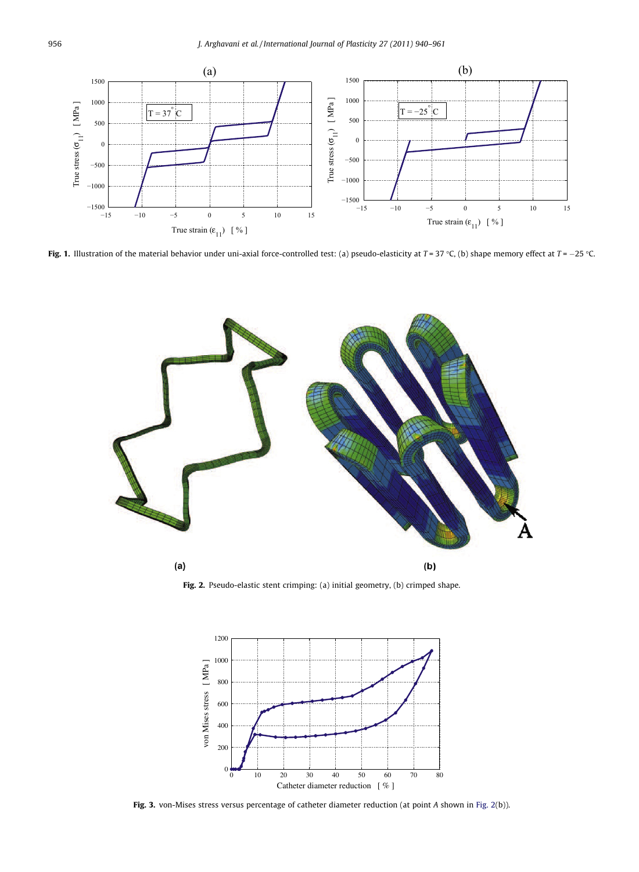<span id="page-16-0"></span>

**Fig. 1.** Illustration of the material behavior under uni-axial force-controlled test: (a) pseudo-elasticity at T = 37 °C, (b) shape memory effect at T =  $-25$  °C.



Fig. 2. Pseudo-elastic stent crimping: (a) initial geometry, (b) crimped shape.



Fig. 3. von-Mises stress versus percentage of catheter diameter reduction (at point A shown in Fig. 2(b)).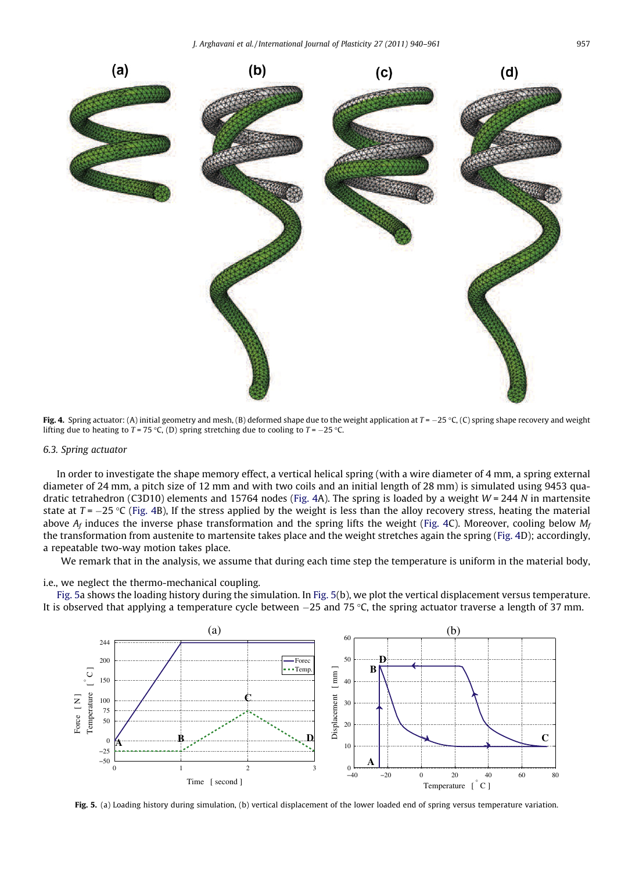

**Fig. 4.** Spring actuator: (A) initial geometry and mesh, (B) deformed shape due to the weight application at T =  $-25$  °C, (C) spring shape recovery and weight lifting due to heating to T = 75 °C, (D) spring stretching due to cooling to T =  $-25$  °C.

#### 6.3. Spring actuator

In order to investigate the shape memory effect, a vertical helical spring (with a wire diameter of 4 mm, a spring external diameter of 24 mm, a pitch size of 12 mm and with two coils and an initial length of 28 mm) is simulated using 9453 quadratic tetrahedron (C3D10) elements and 15764 nodes (Fig. 4A). The spring is loaded by a weight  $W = 244$  N in martensite state at T =  $-25$  °C (Fig. 4B), If the stress applied by the weight is less than the alloy recovery stress, heating the material above  $A_f$  induces the inverse phase transformation and the spring lifts the weight (Fig. 4C). Moreover, cooling below  $M_f$ the transformation from austenite to martensite takes place and the weight stretches again the spring (Fig. 4D); accordingly, a repeatable two-way motion takes place.

We remark that in the analysis, we assume that during each time step the temperature is uniform in the material body,

i.e., we neglect the thermo-mechanical coupling.

Fig. 5a shows the loading history during the simulation. In Fig. 5(b), we plot the vertical displacement versus temperature. It is observed that applying a temperature cycle between  $-25$  and 75 °C, the spring actuator traverse a length of 37 mm.



Fig. 5. (a) Loading history during simulation, (b) vertical displacement of the lower loaded end of spring versus temperature variation.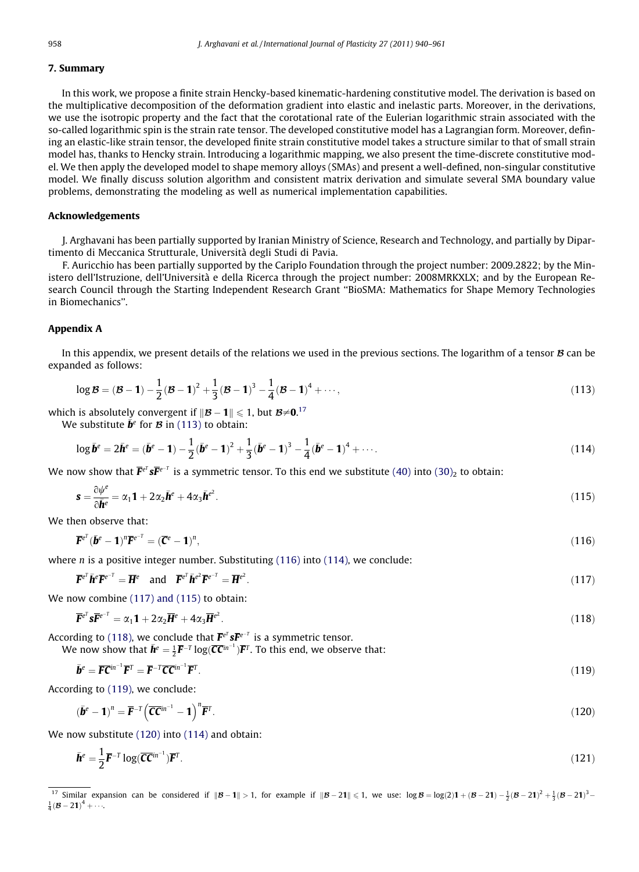#### <span id="page-18-0"></span>7. Summary

In this work, we propose a finite strain Hencky-based kinematic-hardening constitutive model. The derivation is based on the multiplicative decomposition of the deformation gradient into elastic and inelastic parts. Moreover, in the derivations, we use the isotropic property and the fact that the corotational rate of the Eulerian logarithmic strain associated with the so-called logarithmic spin is the strain rate tensor. The developed constitutive model has a Lagrangian form. Moreover, defining an elastic-like strain tensor, the developed finite strain constitutive model takes a structure similar to that of small strain model has, thanks to Hencky strain. Introducing a logarithmic mapping, we also present the time-discrete constitutive model. We then apply the developed model to shape memory alloys (SMAs) and present a well-defined, non-singular constitutive model. We finally discuss solution algorithm and consistent matrix derivation and simulate several SMA boundary value problems, demonstrating the modeling as well as numerical implementation capabilities.

#### Acknowledgements

J. Arghavani has been partially supported by Iranian Ministry of Science, Research and Technology, and partially by Dipartimento di Meccanica Strutturale, Università degli Studi di Pavia.

F. Auricchio has been partially supported by the Cariplo Foundation through the project number: 2009.2822; by the Ministero dell'Istruzione, dell'Università e della Ricerca through the project number: 2008MRKXLX; and by the European Research Council through the Starting Independent Research Grant ''BioSMA: Mathematics for Shape Memory Technologies in Biomechanics''.

#### Appendix A

In this appendix, we present details of the relations we used in the previous sections. The logarithm of a tensor  $B$  can be expanded as follows:

$$
\log \mathcal{B} = (\mathcal{B} - 1) - \frac{1}{2} (\mathcal{B} - 1)^2 + \frac{1}{3} (\mathcal{B} - 1)^3 - \frac{1}{4} (\mathcal{B} - 1)^4 + \cdots,
$$
\n(113)

which is absolutely convergent if  $\|\mathcal{B}-\mathbf{1}\|\leqslant 1$ , but  $\mathcal{B}\!\!\neq\!\! \mathbf{0}.^{17}$ 

We substitute  $\bar{\mathbf{b}}^e$  for  $\mathbf{\mathcal{B}}$  in (113) to obtain:

$$
\log \bar{b}^e = 2\bar{h}^e = (\bar{b}^e - 1) - \frac{1}{2}(\bar{b}^e - 1)^2 + \frac{1}{3}(\bar{b}^e - 1)^3 - \frac{1}{4}(\bar{b}^e - 1)^4 + \cdots
$$
 (114)

We now show that  $\bm{\bar{F}^{e}}^r$   $\bm{sF^{e^-}}$  is a symmetric tensor. To this end we substitute [\(40\)](#page-6-0) into [\(30\)](#page-4-0)<sub>2</sub> to obtain:

$$
\mathbf{s} = \frac{\partial \psi^*}{\partial \bar{\mathbf{h}}^e} = \alpha_1 \mathbf{1} + 2\alpha_2 \bar{\mathbf{h}}^e + 4\alpha_3 \bar{\mathbf{h}}^{e^2}.
$$
 (115)

We then observe that:

 $\sim$   $\mu$ 

$$
\overline{\mathbf{F}}^{e^T}(\overline{\mathbf{b}}^e - \mathbf{1})^n \overline{\mathbf{F}}^{e^{-T}} = (\overline{\mathbf{C}}^e - \mathbf{1})^n, \tag{116}
$$

where *n* is a positive integer number. Substituting  $(116)$  into  $(114)$ , we conclude:

$$
\overline{\mathbf{F}}^{e^T} \overline{\mathbf{h}}^{e} \overline{\mathbf{F}}^{e^{-T}} = \overline{\mathbf{H}}^e \quad \text{and} \quad \overline{\mathbf{F}}^{e^T} \overline{\mathbf{h}}^{e^2} \overline{\mathbf{F}}^{e^{-T}} = \overline{\mathbf{H}}^{e^2}.
$$
\n
$$
(117)
$$

We now combine (117) and (115) to obtain:

$$
\overline{\mathbf{F}}^{e^T} \mathbf{s} \overline{\mathbf{F}}^{e^{-T}} = \alpha_1 \mathbf{1} + 2\alpha_2 \overline{\mathbf{H}}^e + 4\alpha_3 \overline{\mathbf{H}}^{e^2}.
$$
\n(118)

According to (118), we conclude that  $\overline{F}^{e^T} s\overline{F}^{e^{-T}}$  is a symmetric tensor.

We now show that  $\bar{\bm{h}}^e = \frac{1}{2} \bm{\overline{F}}^{-T} \log(\bm{\overline{CC}^{\text{in}^{-1}}}) \bm{\overline{F}^T}.$  To this end, we observe that:

$$
\bar{\boldsymbol{b}}^e = \overline{\boldsymbol{F}} \overline{\mathbf{C}}^{in^{-1}} \overline{\boldsymbol{F}}^T = \overline{\boldsymbol{F}}^{-T} \overline{\mathbf{C}} \overline{\mathbf{C}}^{in^{-1}} \overline{\boldsymbol{F}}^T. \tag{119}
$$

According to (119), we conclude:

 $\left(\bar{\bm{b}}^e - \bm{1}\right)^n = \overline{\bm{F}}^{-T} \left(\overline{\bm{C}\bm{C}}^{in^{-1}} - \bm{1}\right)^n$  $\overline{\mathbf{F}}^T$ . (120)

We now substitute (120) into (114) and obtain:

$$
\bar{\boldsymbol{h}}^{e} = \frac{1}{2} \overline{\boldsymbol{F}}^{-T} \log(\overline{\boldsymbol{C}\boldsymbol{C}}^{in^{-1}}) \overline{\boldsymbol{F}}^{T}.
$$
\n(121)

<sup>&</sup>lt;sup>17</sup> Similar expansion can be considered if  $||\mathcal{B} - 1|| > 1$ , for example if  $||\mathcal{B} - 21|| \le 1$ , we use:  $\log \mathcal{B} = \log(2)1 + (\mathcal{B} - 21)^{-\frac{1}{2}}(\mathcal{B} - 21)^2 + \frac{1}{3}(\mathcal{B} - 21)^3$  $\frac{1}{4}$  $(\mathcal{B} - 21)^4 + \cdots$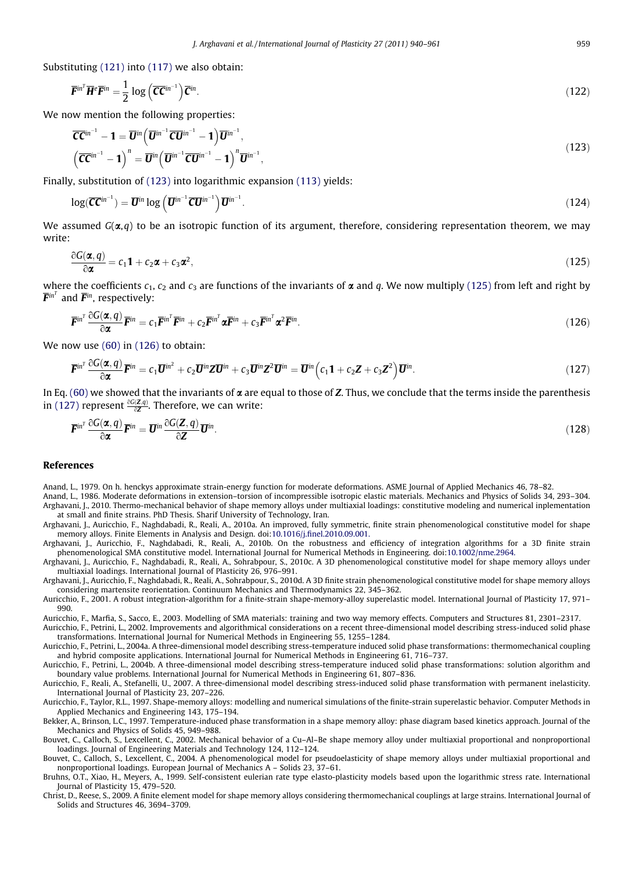<span id="page-19-0"></span>Substituting [\(121\)](#page-18-0) into [\(117\)](#page-18-0) we also obtain:

$$
\overline{\mathbf{F}}^{in^{T}}\overline{\mathbf{H}}^{e}\overline{\mathbf{F}}^{in} = \frac{1}{2}\log\left(\overline{\mathbf{CC}}^{in^{-1}}\right)\overline{\mathbf{C}}^{in}.\tag{122}
$$

We now mention the following properties:

$$
\overline{CC}^{in^{-1}} - 1 = \overline{U}^{in} \left( \overline{U}^{in^{-1}} \overline{CU}^{in^{-1}} - 1 \right) \overline{U}^{in^{-1}},
$$
\n
$$
\left( \overline{CC}^{in^{-1}} - 1 \right)^n = \overline{U}^{in} \left( \overline{U}^{in^{-1}} \overline{CU}^{in^{-1}} - 1 \right)^n \overline{U}^{in^{-1}},
$$
\n(123)

Finally, substitution of (123) into logarithmic expansion [\(113\)](#page-18-0) yields:

$$
\log(\overline{CC}^{in^{-1}}) = \overline{\mathbf{U}}^{in} \log\left(\overline{\mathbf{U}}^{in^{-1}} \overline{\mathbf{C}} \overline{\mathbf{U}}^{in^{-1}}\right) \overline{\mathbf{U}}^{in^{-1}}.
$$
\n(124)

We assumed  $G(\alpha,q)$  to be an isotropic function of its argument, therefore, considering representation theorem, we may write:

$$
\frac{\partial G(\boldsymbol{\alpha},q)}{\partial \boldsymbol{\alpha}} = c_1 \mathbf{1} + c_2 \boldsymbol{\alpha} + c_3 \boldsymbol{\alpha}^2, \tag{125}
$$

where the coefficients  $c_1$ ,  $c_2$  and  $c_3$  are functions of the invariants of  $\alpha$  and q. We now multiply (125) from left and right by  $\overline{\bm{F}}^{in^T}$  and  $\overline{\bm{F}}^{in}$ , respectively:

$$
\overline{\mathbf{F}}^{in^T} \frac{\partial G(\mathbf{\alpha}, q)}{\partial \mathbf{\alpha}} \overline{\mathbf{F}}^{in} = c_1 \overline{\mathbf{F}}^{in^T} \overline{\mathbf{F}}^{in} + c_2 \overline{\mathbf{F}}^{in^T} \mathbf{\alpha} \overline{\mathbf{F}}^{in} + c_3 \overline{\mathbf{F}}^{in^T} \mathbf{\alpha}^2 \overline{\mathbf{F}}^{in}.
$$
\n(126)

We now use [\(60\)](#page-7-0) in (126) to obtain:

$$
\overline{\mathbf{F}}^{in^T} \frac{\partial G(\boldsymbol{\alpha}, q)}{\partial \boldsymbol{\alpha}} \overline{\mathbf{F}}^{in} = c_1 \overline{\mathbf{U}}^{in^2} + c_2 \overline{\mathbf{U}}^{in} \mathbf{Z} \overline{\mathbf{U}}^{in} + c_3 \overline{\mathbf{U}}^{in} \mathbf{Z}^2 \overline{\mathbf{U}}^{in} = \overline{\mathbf{U}}^{in} \left( c_1 \mathbf{1} + c_2 \mathbf{Z} + c_3 \mathbf{Z}^2 \right) \overline{\mathbf{U}}^{in}.
$$
\n(127)

In Eq. [\(60\)](#page-7-0) we showed that the invariants of  $\alpha$  are equal to those of Z. Thus, we conclude that the terms inside the parenthesis in (127) represent  $\frac{\partial G(\mathbf{Z},q)}{\partial \mathbf{Z}}$ . Therefore, we can write:

$$
\overline{\mathbf{F}}^{\text{in}^T} \frac{\partial G(\mathbf{x}, q)}{\partial \mathbf{x}} \overline{\mathbf{F}}^{\text{in}} = \overline{\mathbf{U}}^{\text{in}} \frac{\partial G(\mathbf{Z}, q)}{\partial \mathbf{Z}} \overline{\mathbf{U}}^{\text{in}}.
$$
\n(128)

#### References

Anand, L., 1979. On h. henckys approximate strain-energy function for moderate deformations. ASME Journal of Applied Mechanics 46, 78–82.

Anand, L., 1986. Moderate deformations in extension–torsion of incompressible isotropic elastic materials. Mechanics and Physics of Solids 34, 293–304. Arghavani, J., 2010. Thermo-mechanical behavior of shape memory alloys under multiaxial loadings: constitutive modeling and numerical inplementation at small and finite strains. PhD Thesis. Sharif University of Technology, Iran.

Arghavani, J., Auricchio, F., Naghdabadi, R., Reali, A., 2010a. An improved, fully symmetric, finite strain phenomenological constitutive model for shape memory alloys. Finite Elements in Analysis and Design. doi:[10.1016/j.finel.2010.09.001.](http://dx.doi.org/10.1016/j.finel.2010.09.001)

Arghavani, J., Auricchio, F., Naghdabadi, R., Reali, A., 2010b. On the robustness and efficiency of integration algorithms for a 3D finite strain phenomenological SMA constitutive model. International Journal for Numerical Methods in Engineering. doi[:10.1002/nme.2964.](http://dx.doi.org/10.1002/nme.2964)

Arghavani, J., Auricchio, F., Naghdabadi, R., Reali, A., Sohrabpour, S., 2010c. A 3D phenomenological constitutive model for shape memory alloys under multiaxial loadings. International Journal of Plasticity 26, 976–991.

- Arghavani, J., Auricchio, F., Naghdabadi, R., Reali, A., Sohrabpour, S., 2010d. A 3D finite strain phenomenological constitutive model for shape memory alloys considering martensite reorientation. Continuum Mechanics and Thermodynamics 22, 345–362.
- Auricchio, F., 2001. A robust integration-algorithm for a finite-strain shape-memory-alloy superelastic model. International Journal of Plasticity 17, 971– 990.

Auricchio, F., Marfia, S., Sacco, E., 2003. Modelling of SMA materials: training and two way memory effects. Computers and Structures 81, 2301–2317. Auricchio, F., Petrini, L., 2002. Improvements and algorithmical considerations on a recent three-dimensional model describing stress-induced solid phase

transformations. International Journal for Numerical Methods in Engineering 55, 1255–1284.

Auricchio, F., Petrini, L., 2004a. A three-dimensional model describing stress-temperature induced solid phase transformations: thermomechanical coupling and hybrid composite applications. International Journal for Numerical Methods in Engineering 61, 716–737.

Auricchio, F., Petrini, L., 2004b. A three-dimensional model describing stress-temperature induced solid phase transformations: solution algorithm and boundary value problems. International Journal for Numerical Methods in Engineering 61, 807–836.

Auricchio, F., Reali, A., Stefanelli, U., 2007. A three-dimensional model describing stress-induced solid phase transformation with permanent inelasticity. International Journal of Plasticity 23, 207–226.

Auricchio, F., Taylor, R.L., 1997. Shape-memory alloys: modelling and numerical simulations of the finite-strain superelastic behavior. Computer Methods in Applied Mechanics and Engineering 143, 175–194.

Bekker, A., Brinson, L.C., 1997. Temperature-induced phase transformation in a shape memory alloy: phase diagram based kinetics approach. Journal of the Mechanics and Physics of Solids 45, 949–988.

Bouvet, C., Calloch, S., Lexcellent, C., 2002. Mechanical behavior of a Cu–Al–Be shape memory alloy under multiaxial proportional and nonproportional loadings. Journal of Engineering Materials and Technology 124, 112–124.

Bouvet, C., Calloch, S., Lexcellent, C., 2004. A phenomenological model for pseudoelasticity of shape memory alloys under multiaxial proportional and nonproportional loadings. European Journal of Mechanics A – Solids 23, 37–61.

Bruhns, O.T., Xiao, H., Meyers, A., 1999. Self-consistent eulerian rate type elasto-plasticity models based upon the logarithmic stress rate. International Journal of Plasticity 15, 479–520.

Christ, D., Reese, S., 2009. A finite element model for shape memory alloys considering thermomechanical couplings at large strains. International Journal of Solids and Structures 46, 3694–3709.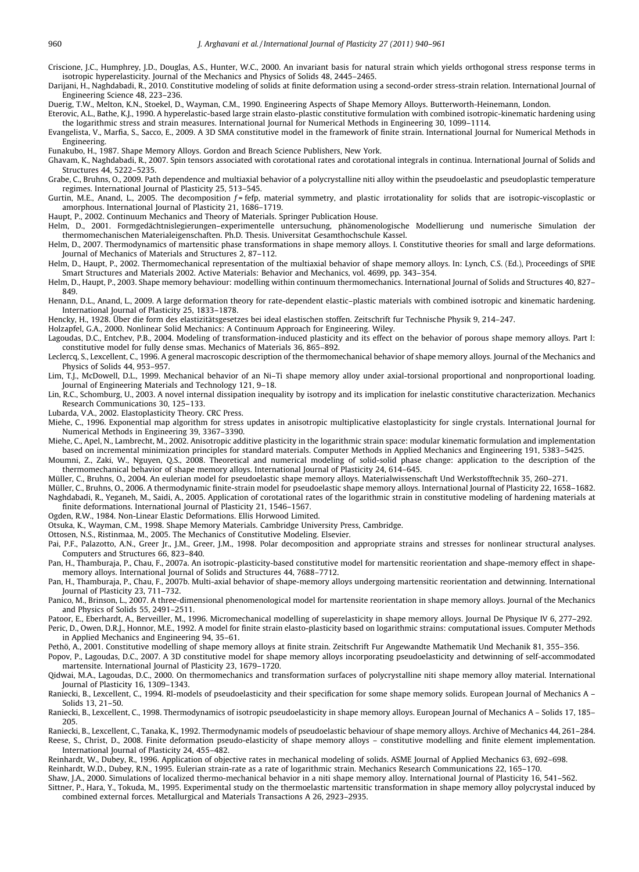- <span id="page-20-0"></span>Criscione, J.C., Humphrey, J.D., Douglas, A.S., Hunter, W.C., 2000. An invariant basis for natural strain which yields orthogonal stress response terms in isotropic hyperelasticity. Journal of the Mechanics and Physics of Solids 48, 2445–2465.
- Darijani, H., Naghdabadi, R., 2010. Constitutive modeling of solids at finite deformation using a second-order stress-strain relation. International Journal of Engineering Science 48, 223–236.
- Duerig, T.W., Melton, K.N., Stoekel, D., Wayman, C.M., 1990. Engineering Aspects of Shape Memory Alloys. Butterworth-Heinemann, London.
- Eterovic, A.L., Bathe, K.J., 1990. A hyperelastic-based large strain elasto-plastic constitutive formulation with combined isotropic-kinematic hardening using the logarithmic stress and strain measures. International Journal for Numerical Methods in Engineering 30, 1099–1114.
- Evangelista, V., Marfia, S., Sacco, E., 2009. A 3D SMA constitutive model in the framework of finite strain. International Journal for Numerical Methods in Engineering.
- Funakubo, H., 1987. Shape Memory Alloys. Gordon and Breach Science Publishers, New York.
- Ghavam, K., Naghdabadi, R., 2007. Spin tensors associated with corotational rates and corotational integrals in continua. International Journal of Solids and Structures 44, 5222–5235.
- Grabe, C., Bruhns, O., 2009. Path dependence and multiaxial behavior of a polycrystalline niti alloy within the pseudoelastic and pseudoplastic temperature regimes. International Journal of Plasticity 25, 513–545.
- Gurtin, M.E., Anand, L., 2005. The decomposition  $f =$  fefp, material symmetry, and plastic irrotationality for solids that are isotropic-viscoplastic or amorphous. International Journal of Plasticity 21, 1686–1719.
- Haupt, P., 2002. Continuum Mechanics and Theory of Materials. Springer Publication House.
- Helm, D., 2001. Formgedächtnislegierungen–experimentelle untersuchung, phänomenologische Modellierung und numerische Simulation der thermomechanischen Materialeigenschaften. Ph.D. Thesis. Universitat Gesamthochschule Kassel.
- Helm, D., 2007. Thermodynamics of martensitic phase transformations in shape memory alloys. I. Constitutive theories for small and large deformations. Journal of Mechanics of Materials and Structures 2, 87–112.
- Helm, D., Haupt, P., 2002. Thermomechanical representation of the multiaxial behavior of shape memory alloys. In: Lynch, C.S. (Ed.), Proceedings of SPIE Smart Structures and Materials 2002. Active Materials: Behavior and Mechanics, vol. 4699, pp. 343–354.
- Helm, D., Haupt, P., 2003. Shape memory behaviour: modelling within continuum thermomechanics. International Journal of Solids and Structures 40, 827– 849.
- Henann, D.L., Anand, L., 2009. A large deformation theory for rate-dependent elastic–plastic materials with combined isotropic and kinematic hardening. International Journal of Plasticity 25, 1833–1878.
- Hencky, H., 1928. Über die form des elastizitätsgesetzes bei ideal elastischen stoffen. Zeitschrift fur Technische Physik 9, 214–247.
- Holzapfel, G.A., 2000. Nonlinear Solid Mechanics: A Continuum Approach for Engineering. Wiley.
- Lagoudas, D.C., Entchev, P.B., 2004. Modeling of transformation-induced plasticity and its effect on the behavior of porous shape memory alloys. Part I: constitutive model for fully dense smas. Mechanics of Materials 36, 865–892.
- Leclercq, S., Lexcellent, C., 1996. A general macroscopic description of the thermomechanical behavior of shape memory alloys. Journal of the Mechanics and Physics of Solids 44, 953–957.
- Lim, T.J., McDowell, D.L., 1999. Mechanical behavior of an Ni–Ti shape memory alloy under axial-torsional proportional and nonproportional loading. Journal of Engineering Materials and Technology 121, 9–18.
- Lin, R.C., Schomburg, U., 2003. A novel internal dissipation inequality by isotropy and its implication for inelastic constitutive characterization. Mechanics Research Communications 30, 125–133.
- Lubarda, V.A., 2002. Elastoplasticity Theory. CRC Press.
- Miehe, C., 1996. Exponential map algorithm for stress updates in anisotropic multiplicative elastoplasticity for single crystals. International Journal for Numerical Methods in Engineering 39, 3367–3390.
- Miehe, C., Apel, N., Lambrecht, M., 2002. Anisotropic additive plasticity in the logarithmic strain space: modular kinematic formulation and implementation based on incremental minimization principles for standard materials. Computer Methods in Applied Mechanics and Engineering 191, 5383–5425.
- Moumni, Z., Zaki, W., Nguyen, Q.S., 2008. Theoretical and numerical modeling of solid-solid phase change: application to the description of the thermomechanical behavior of shape memory alloys. International Journal of Plasticity 24, 614–645.
- Müller, C., Bruhns, O., 2004. An eulerian model for pseudoelastic shape memory alloys. Materialwissenschaft Und Werkstofftechnik 35, 260–271.
- Müller, C., Bruhns, O., 2006. A thermodynamic finite-strain model for pseudoelastic shape memory alloys. International Journal of Plasticity 22, 1658–1682. Naghdabadi, R., Yeganeh, M., Saidi, A., 2005. Application of corotational rates of the logarithmic strain in constitutive modeling of hardening materials at finite deformations. International Journal of Plasticity 21, 1546–1567.
- 
- Ogden, R.W., 1984. Non-Linear Elastic Deformations. Ellis Horwood Limited. Otsuka, K., Wayman, C.M., 1998. Shape Memory Materials. Cambridge University Press, Cambridge.
- Ottosen, N.S., Ristinmaa, M., 2005. The Mechanics of Constitutive Modeling. Elsevier.
- 
- Pai, P.F., Palazotto, A.N., Greer Jr., J.M., Greer, J.M., 1998. Polar decomposition and appropriate strains and stresses for nonlinear structural analyses. Computers and Structures 66, 823–840.
- Pan, H., Thamburaja, P., Chau, F., 2007a. An isotropic-plasticity-based constitutive model for martensitic reorientation and shape-memory effect in shapememory alloys. International Journal of Solids and Structures 44, 7688–7712.
- Pan, H., Thamburaja, P., Chau, F., 2007b. Multi-axial behavior of shape-memory alloys undergoing martensitic reorientation and detwinning. International Journal of Plasticity 23, 711–732.
- Panico, M., Brinson, L., 2007. A three-dimensional phenomenological model for martensite reorientation in shape memory alloys. Journal of the Mechanics and Physics of Solids 55, 2491–2511.
- Patoor, E., Eberhardt, A., Berveiller, M., 1996. Micromechanical modelling of superelasticity in shape memory alloys. Journal De Physique IV 6, 277–292. Peric, D., Owen, D.R.J., Honnor, M.E., 1992. A model for finite strain elasto-plasticity based on logarithmic strains: computational issues. Computer Methods in Applied Mechanics and Engineering 94, 35–61.
- Pethö, A., 2001. Constitutive modelling of shape memory alloys at finite strain. Zeitschrift Fur Angewandte Mathematik Und Mechanik 81, 355–356.
- Popov, P., Lagoudas, D.C., 2007. A 3D constitutive model for shape memory alloys incorporating pseudoelasticity and detwinning of self-accommodated martensite. International Journal of Plasticity 23, 1679–1720.
- Qidwai, M.A., Lagoudas, D.C., 2000. On thermomechanics and transformation surfaces of polycrystalline niti shape memory alloy material. International Journal of Plasticity 16, 1309–1343.
- Raniecki, B., Lexcellent, C., 1994. Rl-models of pseudoelasticity and their specification for some shape memory solids. European Journal of Mechanics A Solids 13, 21–50.
- Raniecki, B., Lexcellent, C., 1998. Thermodynamics of isotropic pseudoelasticity in shape memory alloys. European Journal of Mechanics A Solids 17, 185– 205.
- Raniecki, B., Lexcellent, C., Tanaka, K., 1992. Thermodynamic models of pseudoelastic behaviour of shape memory alloys. Archive of Mechanics 44, 261–284. Reese, S., Christ, D., 2008. Finite deformation pseudo-elasticity of shape memory alloys – constitutive modelling and finite element implementation. International Journal of Plasticity 24, 455–482.
- Reinhardt, W., Dubey, R., 1996. Application of objective rates in mechanical modeling of solids. ASME Journal of Applied Mechanics 63, 692–698.
- Reinhardt, W.D., Dubey, R.N., 1995. Eulerian strain-rate as a rate of logarithmic strain. Mechanics Research Communications 22, 165–170.
- Shaw, J.A., 2000. Simulations of localized thermo-mechanical behavior in a niti shape memory alloy. International Journal of Plasticity 16, 541–562.
- Sittner, P., Hara, Y., Tokuda, M., 1995. Experimental study on the thermoelastic martensitic transformation in shape memory alloy polycrystal induced by combined external forces. Metallurgical and Materials Transactions A 26, 2923–2935.